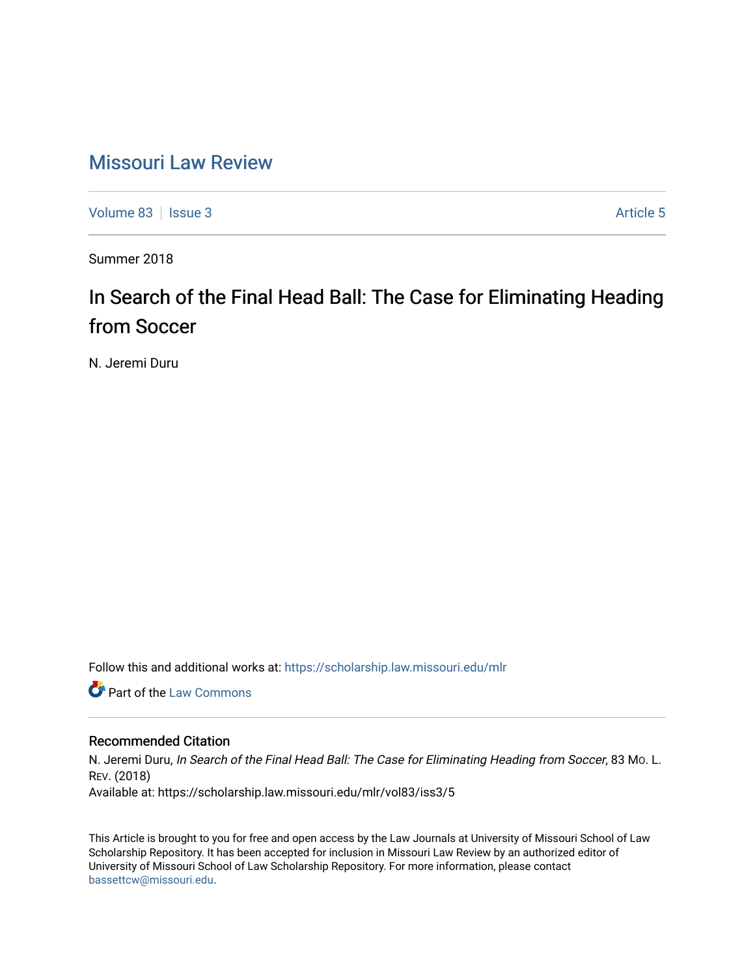# [Missouri Law Review](https://scholarship.law.missouri.edu/mlr)

[Volume 83](https://scholarship.law.missouri.edu/mlr/vol83) | [Issue 3](https://scholarship.law.missouri.edu/mlr/vol83/iss3) Article 5

Summer 2018

# In Search of the Final Head Ball: The Case for Eliminating Heading from Soccer

N. Jeremi Duru

Follow this and additional works at: [https://scholarship.law.missouri.edu/mlr](https://scholarship.law.missouri.edu/mlr?utm_source=scholarship.law.missouri.edu%2Fmlr%2Fvol83%2Fiss3%2F5&utm_medium=PDF&utm_campaign=PDFCoverPages)

**C** Part of the [Law Commons](http://network.bepress.com/hgg/discipline/578?utm_source=scholarship.law.missouri.edu%2Fmlr%2Fvol83%2Fiss3%2F5&utm_medium=PDF&utm_campaign=PDFCoverPages)

# Recommended Citation

N. Jeremi Duru, In Search of the Final Head Ball: The Case for Eliminating Heading from Soccer, 83 MO. L. REV. (2018) Available at: https://scholarship.law.missouri.edu/mlr/vol83/iss3/5

This Article is brought to you for free and open access by the Law Journals at University of Missouri School of Law Scholarship Repository. It has been accepted for inclusion in Missouri Law Review by an authorized editor of University of Missouri School of Law Scholarship Repository. For more information, please contact [bassettcw@missouri.edu](mailto:bassettcw@missouri.edu).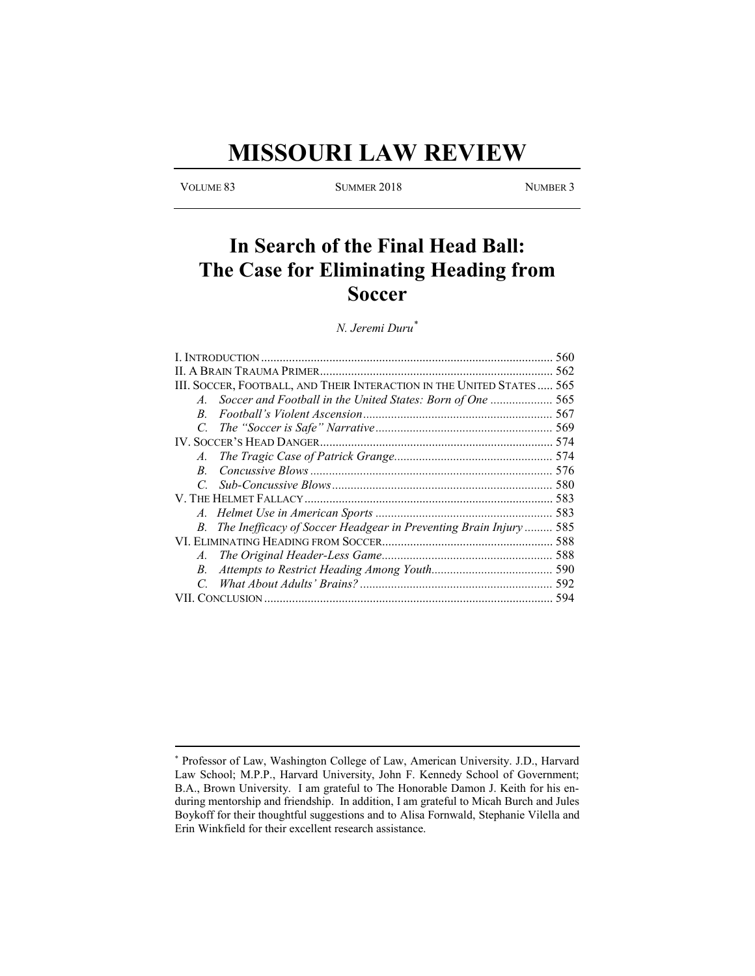# **MISSOURI LAW REVIEW**

VOLUME 83 SUMMER 2018 NUMBER 3

# **In Search of the Final Head Ball: The Case for Eliminating Heading from Soccer**

*N. Jeremi Duru\**

| 560                                                                   |
|-----------------------------------------------------------------------|
|                                                                       |
| III. SOCCER, FOOTBALL, AND THEIR INTERACTION IN THE UNITED STATES 565 |
| Soccer and Football in the United States: Born of One  565            |
|                                                                       |
|                                                                       |
|                                                                       |
|                                                                       |
|                                                                       |
|                                                                       |
|                                                                       |
|                                                                       |
| B. The Inefficacy of Soccer Headgear in Preventing Brain Injury 585   |
|                                                                       |
|                                                                       |
|                                                                       |
|                                                                       |
|                                                                       |
|                                                                       |

<sup>\*</sup> Professor of Law, Washington College of Law, American University. J.D., Harvard Law School; M.P.P., Harvard University, John F. Kennedy School of Government; B.A., Brown University. I am grateful to The Honorable Damon J. Keith for his enduring mentorship and friendship. In addition, I am grateful to Micah Burch and Jules Boykoff for their thoughtful suggestions and to Alisa Fornwald, Stephanie Vilella and Erin Winkfield for their excellent research assistance.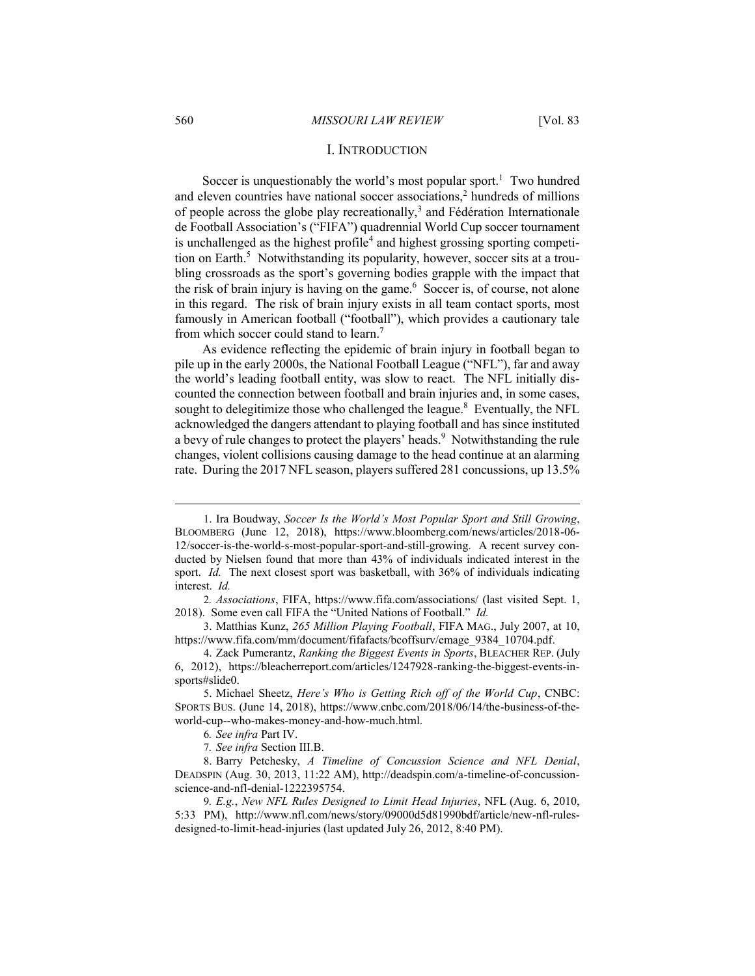### I. INTRODUCTION

Soccer is unquestionably the world's most popular sport.<sup>1</sup> Two hundred and eleven countries have national soccer associations,<sup>2</sup> hundreds of millions of people across the globe play recreationally,<sup>3</sup> and Fédération Internationale de Football Association's ("FIFA") quadrennial World Cup soccer tournament is unchallenged as the highest profile<sup>4</sup> and highest grossing sporting competition on Earth.<sup>5</sup> Notwithstanding its popularity, however, soccer sits at a troubling crossroads as the sport's governing bodies grapple with the impact that the risk of brain injury is having on the game. $6$  Soccer is, of course, not alone in this regard. The risk of brain injury exists in all team contact sports, most famously in American football ("football"), which provides a cautionary tale from which soccer could stand to learn.<sup>7</sup>

As evidence reflecting the epidemic of brain injury in football began to pile up in the early 2000s, the National Football League ("NFL"), far and away the world's leading football entity, was slow to react. The NFL initially discounted the connection between football and brain injuries and, in some cases, sought to delegitimize those who challenged the league. $8$  Eventually, the NFL acknowledged the dangers attendant to playing football and has since instituted a bevy of rule changes to protect the players' heads.<sup>9</sup> Notwithstanding the rule changes, violent collisions causing damage to the head continue at an alarming rate. During the 2017 NFL season, players suffered 281 concussions, up 13.5%

3. Matthias Kunz, *265 Million Playing Football*, FIFA MAG., July 2007, at 10, https://www.fifa.com/mm/document/fifafacts/bcoffsurv/emage\_9384\_10704.pdf.

<sup>1</sup>. Ira Boudway, *Soccer Is the World's Most Popular Sport and Still Growing*, BLOOMBERG (June 12, 2018), https://www.bloomberg.com/news/articles/2018-06- 12/soccer-is-the-world-s-most-popular-sport-and-still-growing. A recent survey conducted by Nielsen found that more than 43% of individuals indicated interest in the sport. *Id.* The next closest sport was basketball, with 36% of individuals indicating interest. *Id.*

<sup>2</sup>*. Associations*, FIFA, https://www.fifa.com/associations/ (last visited Sept. 1, 2018). Some even call FIFA the "United Nations of Football." *Id.*

<sup>4</sup>. Zack Pumerantz, *Ranking the Biggest Events in Sports*, BLEACHER REP. (July 6, 2012), https://bleacherreport.com/articles/1247928-ranking-the-biggest-events-insports#slide0.

<sup>5</sup>. Michael Sheetz, *Here's Who is Getting Rich off of the World Cup*, CNBC: SPORTS BUS. (June 14, 2018), https://www.cnbc.com/2018/06/14/the-business-of-theworld-cup--who-makes-money-and-how-much.html.

<sup>6</sup>*. See infra* Part IV.

<sup>7</sup>*. See infra* Section III.B.

<sup>8</sup>. Barry Petchesky, *A Timeline of Concussion Science and NFL Denial*, DEADSPIN (Aug. 30, 2013, 11:22 AM), http://deadspin.com/a-timeline-of-concussionscience-and-nfl-denial-1222395754.

<sup>9</sup>*. E.g.*, *New NFL Rules Designed to Limit Head Injuries*, NFL (Aug. 6, 2010, 5:33 PM), http://www.nfl.com/news/story/09000d5d81990bdf/article/new-nfl-rulesdesigned-to-limit-head-injuries (last updated July 26, 2012, 8:40 PM).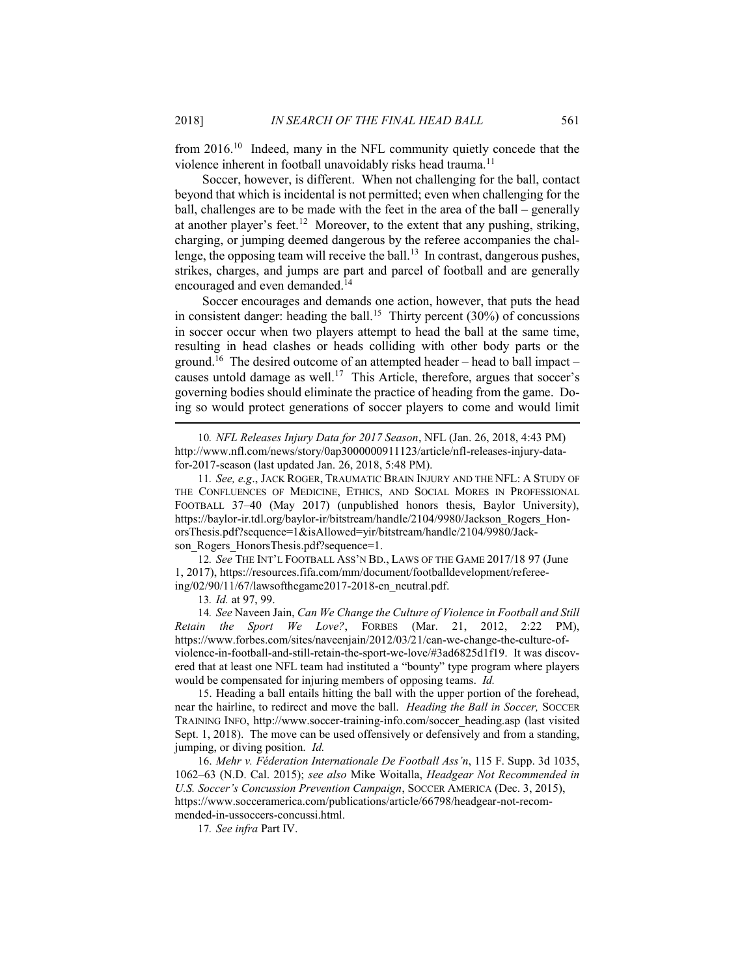from 2016.<sup>10</sup> Indeed, many in the NFL community quietly concede that the violence inherent in football unavoidably risks head trauma.<sup>11</sup>

Soccer, however, is different. When not challenging for the ball, contact beyond that which is incidental is not permitted; even when challenging for the ball, challenges are to be made with the feet in the area of the ball – generally at another player's feet.<sup>12</sup> Moreover, to the extent that any pushing, striking, charging, or jumping deemed dangerous by the referee accompanies the challenge, the opposing team will receive the ball.<sup>13</sup> In contrast, dangerous pushes, strikes, charges, and jumps are part and parcel of football and are generally encouraged and even demanded.<sup>14</sup>

Soccer encourages and demands one action, however, that puts the head in consistent danger: heading the ball.<sup>15</sup> Thirty percent  $(30\%)$  of concussions in soccer occur when two players attempt to head the ball at the same time, resulting in head clashes or heads colliding with other body parts or the ground.<sup>16</sup> The desired outcome of an attempted header – head to ball impact – causes untold damage as well.<sup>17</sup> This Article, therefore, argues that soccer's governing bodies should eliminate the practice of heading from the game. Doing so would protect generations of soccer players to come and would limit

12*. See* THE INT'L FOOTBALL ASS'N BD., LAWS OF THE GAME 2017/18 97 (June 1, 2017), https://resources.fifa.com/mm/document/footballdevelopment/refereeing/02/90/11/67/lawsofthegame2017-2018-en\_neutral.pdf.

13*. Id.* at 97, 99.

14*. See* Naveen Jain, *Can We Change the Culture of Violence in Football and Still Retain the Sport We Love?*, FORBES (Mar. 21, 2012, 2:22 PM), https://www.forbes.com/sites/naveenjain/2012/03/21/can-we-change-the-culture-ofviolence-in-football-and-still-retain-the-sport-we-love/#3ad6825d1f19. It was discovered that at least one NFL team had instituted a "bounty" type program where players would be compensated for injuring members of opposing teams. *Id.*

15. Heading a ball entails hitting the ball with the upper portion of the forehead, near the hairline, to redirect and move the ball. *Heading the Ball in Soccer,* SOCCER TRAINING INFO, http://www.soccer-training-info.com/soccer\_heading.asp (last visited Sept. 1, 2018). The move can be used offensively or defensively and from a standing, jumping, or diving position. *Id.*

16. *Mehr v. Féderation Internationale De Football Ass'n*, 115 F. Supp. 3d 1035, 1062–63 (N.D. Cal. 2015); *see also* Mike Woitalla, *Headgear Not Recommended in U.S. Soccer's Concussion Prevention Campaign*, SOCCER AMERICA (Dec. 3, 2015), https://www.socceramerica.com/publications/article/66798/headgear-not-recommended-in-ussoccers-concussi.html.

17*. See infra* Part IV.

<sup>10</sup>*. NFL Releases Injury Data for 2017 Season*, NFL (Jan. 26, 2018, 4:43 PM) http://www.nfl.com/news/story/0ap3000000911123/article/nfl-releases-injury-datafor-2017-season (last updated Jan. 26, 2018, 5:48 PM).

<sup>11</sup>*. See, e.g*., JACK ROGER, TRAUMATIC BRAIN INJURY AND THE NFL: A STUDY OF THE CONFLUENCES OF MEDICINE, ETHICS, AND SOCIAL MORES IN PROFESSIONAL FOOTBALL 37–40 (May 2017) (unpublished honors thesis, Baylor University), https://baylor-ir.tdl.org/baylor-ir/bitstream/handle/2104/9980/Jackson\_Rogers\_HonorsThesis.pdf?sequence=1&isAllowed=yir/bitstream/handle/2104/9980/Jackson\_Rogers\_HonorsThesis.pdf?sequence=1.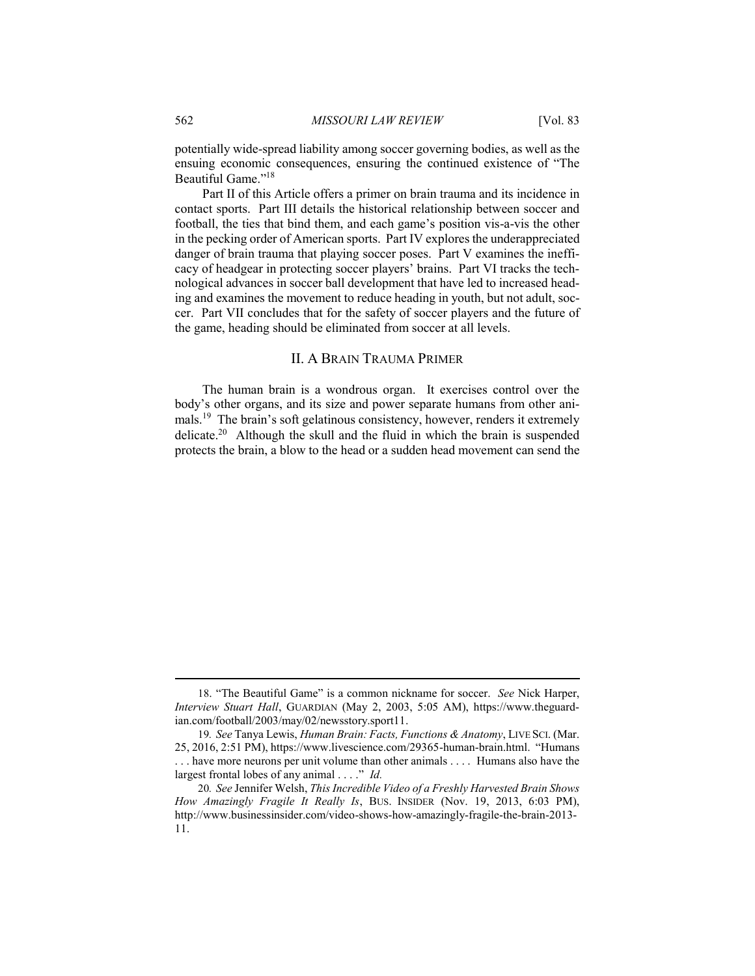potentially wide-spread liability among soccer governing bodies, as well as the ensuing economic consequences, ensuring the continued existence of "The Beautiful Game."<sup>18</sup>

Part II of this Article offers a primer on brain trauma and its incidence in contact sports. Part III details the historical relationship between soccer and football, the ties that bind them, and each game's position vis-a-vis the other in the pecking order of American sports. Part IV explores the underappreciated danger of brain trauma that playing soccer poses. Part V examines the inefficacy of headgear in protecting soccer players' brains. Part VI tracks the technological advances in soccer ball development that have led to increased heading and examines the movement to reduce heading in youth, but not adult, soccer. Part VII concludes that for the safety of soccer players and the future of the game, heading should be eliminated from soccer at all levels.

# II. A BRAIN TRAUMA PRIMER

The human brain is a wondrous organ. It exercises control over the body's other organs, and its size and power separate humans from other animals.<sup>19</sup> The brain's soft gelatinous consistency, however, renders it extremely delicate.<sup>20</sup> Although the skull and the fluid in which the brain is suspended protects the brain, a blow to the head or a sudden head movement can send the

<sup>18</sup>. "The Beautiful Game" is a common nickname for soccer. *See* Nick Harper, *Interview Stuart Hall*, GUARDIAN (May 2, 2003, 5:05 AM), https://www.theguardian.com/football/2003/may/02/newsstory.sport11.

<sup>19</sup>*. See* Tanya Lewis, *Human Brain: Facts, Functions & Anatomy*, LIVE SCI. (Mar. 25, 2016, 2:51 PM), https://www.livescience.com/29365-human-brain.html. "Humans . . . have more neurons per unit volume than other animals . . . . Humans also have the largest frontal lobes of any animal . . . ." *Id.*

<sup>20</sup>*. See* Jennifer Welsh, *This Incredible Video of a Freshly Harvested Brain Shows How Amazingly Fragile It Really Is*, BUS. INSIDER (Nov. 19, 2013, 6:03 PM), http://www.businessinsider.com/video-shows-how-amazingly-fragile-the-brain-2013- 11.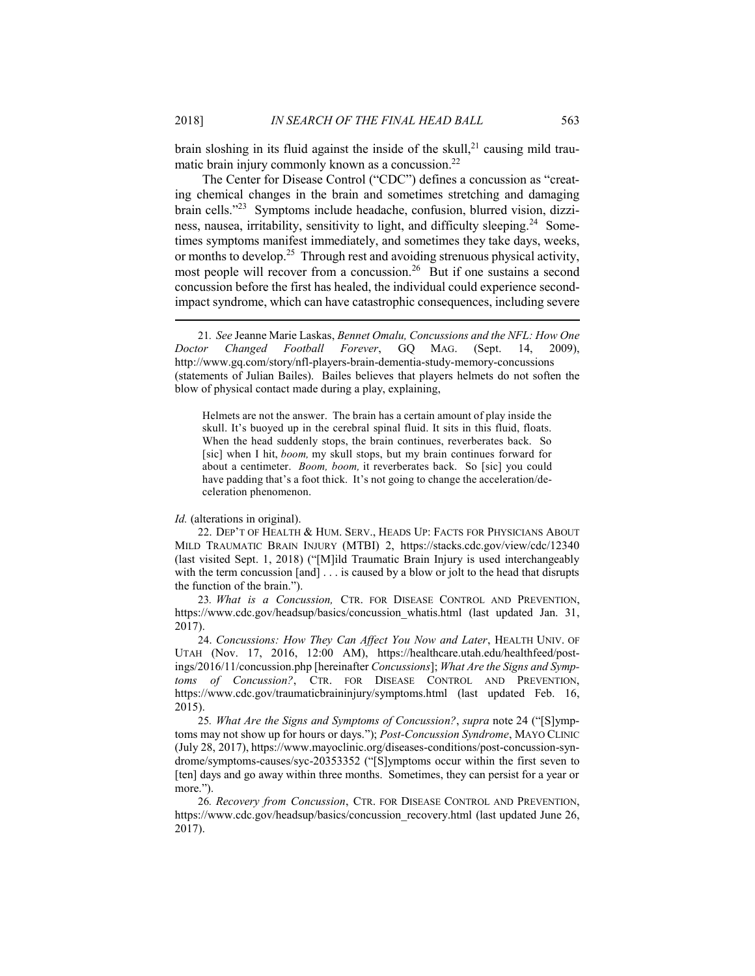brain sloshing in its fluid against the inside of the skull, $^{21}$  causing mild traumatic brain injury commonly known as a concussion. $^{22}$ 

The Center for Disease Control ("CDC") defines a concussion as "creating chemical changes in the brain and sometimes stretching and damaging brain cells."<sup>23</sup> Symptoms include headache, confusion, blurred vision, dizziness, nausea, irritability, sensitivity to light, and difficulty sleeping.<sup>24</sup> Sometimes symptoms manifest immediately, and sometimes they take days, weeks, or months to develop.<sup>25</sup> Through rest and avoiding strenuous physical activity, most people will recover from a concussion.<sup>26</sup> But if one sustains a second concussion before the first has healed, the individual could experience secondimpact syndrome, which can have catastrophic consequences, including severe

Helmets are not the answer. The brain has a certain amount of play inside the skull. It's buoyed up in the cerebral spinal fluid. It sits in this fluid, floats. When the head suddenly stops, the brain continues, reverberates back. So [sic] when I hit, *boom,* my skull stops, but my brain continues forward for about a centimeter. *Boom, boom,* it reverberates back. So [sic] you could have padding that's a foot thick. It's not going to change the acceleration/deceleration phenomenon.

#### *Id.* (alterations in original).

22. DEP'T OF HEALTH & HUM. SERV., HEADS UP: FACTS FOR PHYSICIANS ABOUT MILD TRAUMATIC BRAIN INJURY (MTBI) 2, https://stacks.cdc.gov/view/cdc/12340 (last visited Sept. 1, 2018) ("[M]ild Traumatic Brain Injury is used interchangeably with the term concussion  $[and] \dots$  is caused by a blow or jolt to the head that disrupts the function of the brain.").

23*. What is a Concussion,* CTR. FOR DISEASE CONTROL AND PREVENTION, https://www.cdc.gov/headsup/basics/concussion\_whatis.html (last updated Jan. 31, 2017).

24. *Concussions: How They Can Affect You Now and Later*, HEALTH UNIV. OF UTAH (Nov. 17, 2016, 12:00 AM), https://healthcare.utah.edu/healthfeed/postings/2016/11/concussion.php [hereinafter *Concussions*]; *What Are the Signs and Symptoms of Concussion?*, CTR. FOR DISEASE CONTROL AND PREVENTION, https://www.cdc.gov/traumaticbraininjury/symptoms.html (last updated Feb. 16, 2015).

25*. What Are the Signs and Symptoms of Concussion?*, *supra* note 24 ("[S]ymptoms may not show up for hours or days."); *Post-Concussion Syndrome*, MAYO CLINIC (July 28, 2017), https://www.mayoclinic.org/diseases-conditions/post-concussion-syndrome/symptoms-causes/syc-20353352 ("[S]ymptoms occur within the first seven to [ten] days and go away within three months. Sometimes, they can persist for a year or more.").

26*. Recovery from Concussion*, CTR. FOR DISEASE CONTROL AND PREVENTION, https://www.cdc.gov/headsup/basics/concussion\_recovery.html (last updated June 26, 2017).

<sup>21</sup>*. See* Jeanne Marie Laskas, *Bennet Omalu, Concussions and the NFL: How One Doctor Changed Football Forever*, GQ MAG. (Sept. 14, 2009), http://www.gq.com/story/nfl-players-brain-dementia-study-memory-concussions (statements of Julian Bailes). Bailes believes that players helmets do not soften the blow of physical contact made during a play, explaining,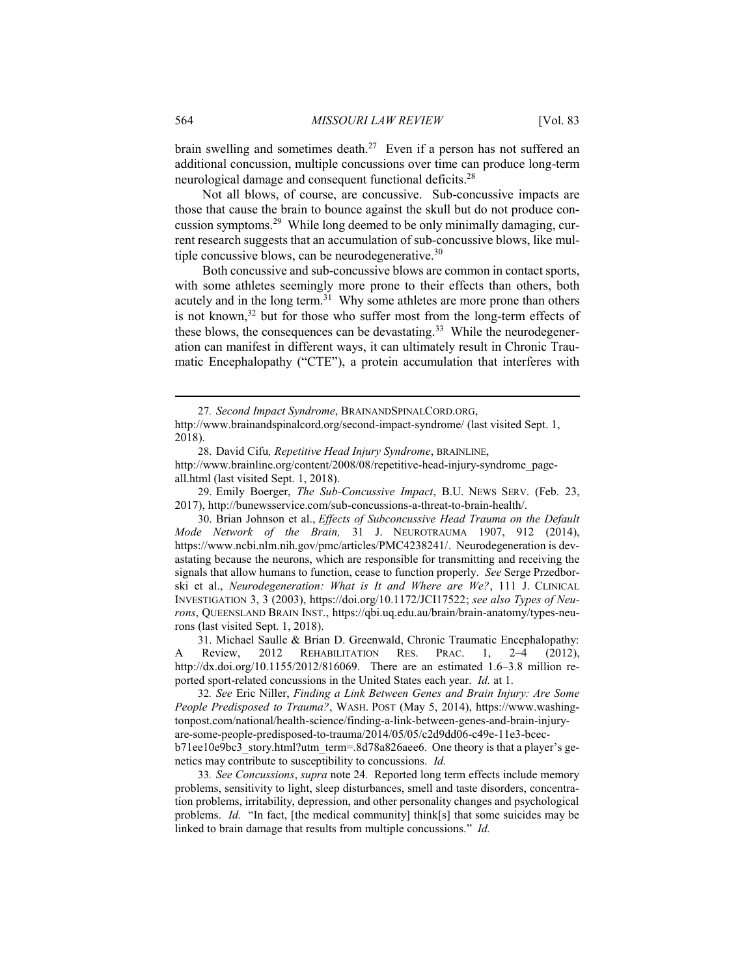brain swelling and sometimes death.<sup>27</sup> Even if a person has not suffered an additional concussion, multiple concussions over time can produce long-term neurological damage and consequent functional deficits.<sup>28</sup>

Not all blows, of course, are concussive. Sub-concussive impacts are those that cause the brain to bounce against the skull but do not produce concussion symptoms.<sup>29</sup> While long deemed to be only minimally damaging, current research suggests that an accumulation of sub-concussive blows, like multiple concussive blows, can be neurodegenerative.  $30$ 

Both concussive and sub-concussive blows are common in contact sports, with some athletes seemingly more prone to their effects than others, both acutely and in the long term.<sup>31</sup> Why some athletes are more prone than others is not known, $32$  but for those who suffer most from the long-term effects of these blows, the consequences can be devastating.<sup>33</sup> While the neurodegeneration can manifest in different ways, it can ultimately result in Chronic Traumatic Encephalopathy ("CTE"), a protein accumulation that interferes with

29. Emily Boerger, *The Sub-Concussive Impact*, B.U. NEWS SERV. (Feb. 23, 2017), http://bunewsservice.com/sub-concussions-a-threat-to-brain-health/.

30. Brian Johnson et al., *Effects of Subconcussive Head Trauma on the Default Mode Network of the Brain,* 31 J. NEUROTRAUMA 1907, 912 (2014), https://www.ncbi.nlm.nih.gov/pmc/articles/PMC4238241/. Neurodegeneration is devastating because the neurons, which are responsible for transmitting and receiving the signals that allow humans to function, cease to function properly. *See* Serge Przedborski et al., *Neurodegeneration: What is It and Where are We?*, 111 J. CLINICAL INVESTIGATION 3, 3 (2003), https://doi.org/10.1172/JCI17522; *see also Types of Neurons*, QUEENSLAND BRAIN INST., https://qbi.uq.edu.au/brain/brain-anatomy/types-neurons (last visited Sept. 1, 2018).

31. Michael Saulle & Brian D. Greenwald, Chronic Traumatic Encephalopathy: A Review, 2012 REHABILITATION RES. PRAC. 1, 2–4 (2012), http://dx.doi.org/10.1155/2012/816069. There are an estimated 1.6–3.8 million reported sport-related concussions in the United States each year. *Id.* at 1.

32*. See* Eric Niller, *Finding a Link Between Genes and Brain Injury: Are Some People Predisposed to Trauma?*, WASH. POST (May 5, 2014), https://www.washingtonpost.com/national/health-science/finding-a-link-between-genes-and-brain-injuryare-some-people-predisposed-to-trauma/2014/05/05/c2d9dd06-c49e-11e3-bcecb71ee10e9bc3\_story.html?utm\_term=.8d78a826aee6. One theory is that a player's genetics may contribute to susceptibility to concussions. *Id.*

33*. See Concussions*, *supra* note 24. Reported long term effects include memory problems, sensitivity to light, sleep disturbances, smell and taste disorders, concentration problems, irritability, depression, and other personality changes and psychological problems. *Id.* "In fact, [the medical community] think[s] that some suicides may be linked to brain damage that results from multiple concussions." *Id.*

<sup>27</sup>*. Second Impact Syndrome*, BRAINANDSPINALCORD.ORG,

http://www.brainandspinalcord.org/second-impact-syndrome/ (last visited Sept. 1, 2018).

<sup>28</sup>. David Cifu*, Repetitive Head Injury Syndrome*, BRAINLINE, http://www.brainline.org/content/2008/08/repetitive-head-injury-syndrome\_pageall.html (last visited Sept. 1, 2018).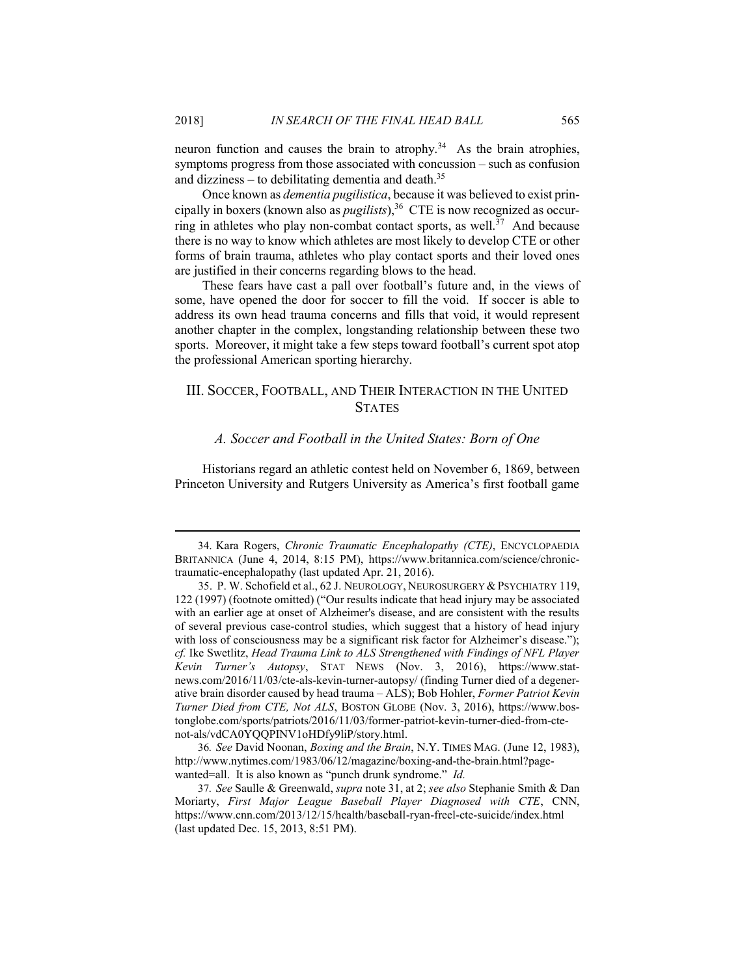neuron function and causes the brain to atrophy.<sup>34</sup> As the brain atrophies, symptoms progress from those associated with concussion – such as confusion and dizziness – to debilitating dementia and death.<sup>35</sup>

Once known as *dementia pugilistica*, because it was believed to exist principally in boxers (known also as *pugilists*),<sup>36</sup> CTE is now recognized as occurring in athletes who play non-combat contact sports, as well.<sup>37</sup> And because there is no way to know which athletes are most likely to develop CTE or other forms of brain trauma, athletes who play contact sports and their loved ones are justified in their concerns regarding blows to the head.

These fears have cast a pall over football's future and, in the views of some, have opened the door for soccer to fill the void. If soccer is able to address its own head trauma concerns and fills that void, it would represent another chapter in the complex, longstanding relationship between these two sports. Moreover, it might take a few steps toward football's current spot atop the professional American sporting hierarchy.

# III. SOCCER, FOOTBALL, AND THEIR INTERACTION IN THE UNITED **STATES**

#### *A. Soccer and Football in the United States: Born of One*

Historians regard an athletic contest held on November 6, 1869, between Princeton University and Rutgers University as America's first football game

<sup>34</sup>. Kara Rogers, *Chronic Traumatic Encephalopathy (CTE)*, ENCYCLOPAEDIA BRITANNICA (June 4, 2014, 8:15 PM), https://www.britannica.com/science/chronictraumatic-encephalopathy (last updated Apr. 21, 2016).

35. P. W. Schofield et al., 62 J. NEUROLOGY, NEUROSURGERY & PSYCHIATRY 119, 122 (1997) (footnote omitted) ("Our results indicate that head injury may be associated with an earlier age at onset of Alzheimer's disease, and are consistent with the results of several previous case-control studies, which suggest that a history of head injury with loss of consciousness may be a significant risk factor for Alzheimer's disease."); *cf.* Ike Swetlitz, *Head Trauma Link to ALS Strengthened with Findings of NFL Player Kevin Turner's Autopsy*, STAT NEWS (Nov. 3, 2016), https://www.statnews.com/2016/11/03/cte-als-kevin-turner-autopsy/ (finding Turner died of a degenerative brain disorder caused by head trauma – ALS); Bob Hohler, *Former Patriot Kevin Turner Died from CTE, Not ALS*, BOSTON GLOBE (Nov. 3, 2016), https://www.bostonglobe.com/sports/patriots/2016/11/03/former-patriot-kevin-turner-died-from-ctenot-als/vdCA0YQQPINV1oHDfy9liP/story.html.

<sup>36</sup>*. See* David Noonan, *Boxing and the Brain*, N.Y. TIMES MAG. (June 12, 1983), http://www.nytimes.com/1983/06/12/magazine/boxing-and-the-brain.html?pagewanted=all. It is also known as "punch drunk syndrome." *Id.*

<sup>37</sup>*. See* Saulle & Greenwald, *supra* note 31, at 2; *see also* Stephanie Smith & Dan Moriarty, *First Major League Baseball Player Diagnosed with CTE*, CNN, https://www.cnn.com/2013/12/15/health/baseball-ryan-freel-cte-suicide/index.html (last updated Dec. 15, 2013, 8:51 PM).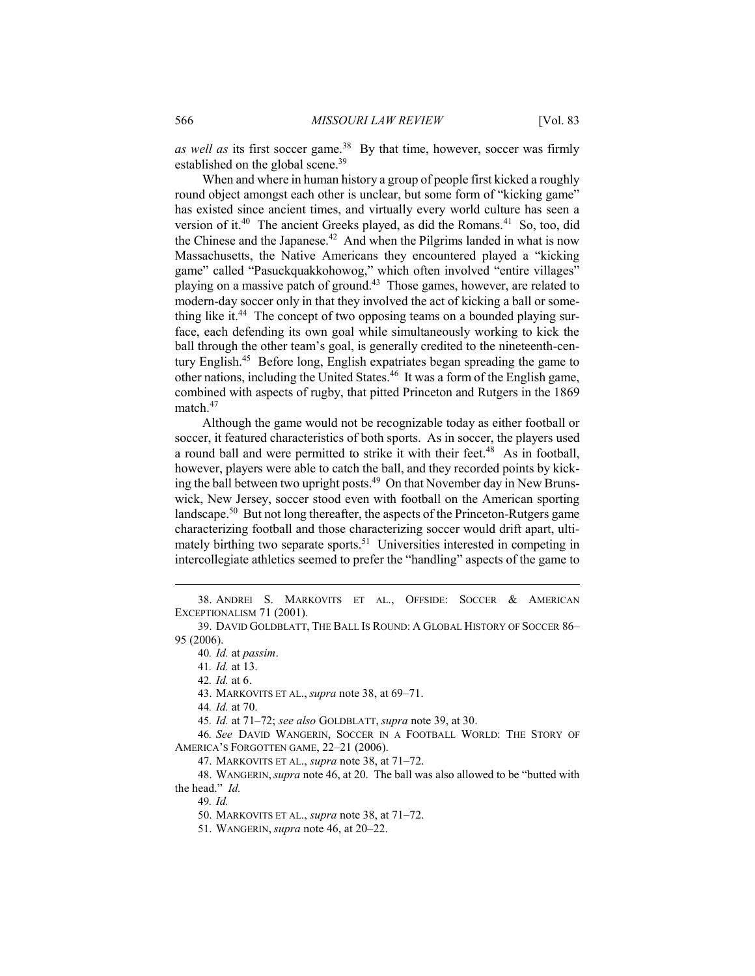as well as its first soccer game.<sup>38</sup> By that time, however, soccer was firmly established on the global scene.<sup>39</sup>

When and where in human history a group of people first kicked a roughly round object amongst each other is unclear, but some form of "kicking game" has existed since ancient times, and virtually every world culture has seen a version of it.<sup>40</sup> The ancient Greeks played, as did the Romans.<sup>41</sup> So, too, did the Chinese and the Japanese.<sup>42</sup> And when the Pilgrims landed in what is now Massachusetts, the Native Americans they encountered played a "kicking game" called "Pasuckquakkohowog," which often involved "entire villages" playing on a massive patch of ground.<sup>43</sup> Those games, however, are related to modern-day soccer only in that they involved the act of kicking a ball or something like it.<sup>44</sup> The concept of two opposing teams on a bounded playing surface, each defending its own goal while simultaneously working to kick the ball through the other team's goal, is generally credited to the nineteenth-century English.<sup>45</sup> Before long, English expatriates began spreading the game to other nations, including the United States.<sup>46</sup> It was a form of the English game, combined with aspects of rugby, that pitted Princeton and Rutgers in the 1869 match.<sup>47</sup>

Although the game would not be recognizable today as either football or soccer, it featured characteristics of both sports. As in soccer, the players used a round ball and were permitted to strike it with their feet.<sup>48</sup> As in football, however, players were able to catch the ball, and they recorded points by kicking the ball between two upright posts.<sup>49</sup> On that November day in New Brunswick, New Jersey, soccer stood even with football on the American sporting landscape.<sup>50</sup> But not long thereafter, the aspects of the Princeton-Rutgers game characterizing football and those characterizing soccer would drift apart, ultimately birthing two separate sports.<sup>51</sup> Universities interested in competing in intercollegiate athletics seemed to prefer the "handling" aspects of the game to

44*. Id.* at 70.

45*. Id.* at 71–72; *see also* GOLDBLATT, *supra* note 39, at 30.

46*. See* DAVID WANGERIN, SOCCER IN A FOOTBALL WORLD: THE STORY OF AMERICA'S FORGOTTEN GAME, 22–21 (2006).

47. MARKOVITS ET AL., *supra* note 38, at 71–72.

48. WANGERIN,*supra* note 46, at 20. The ball was also allowed to be "butted with the head." *Id.*

49*. Id.*

50. MARKOVITS ET AL., *supra* note 38, at 71–72.

51. WANGERIN, *supra* note 46, at 20–22.

<sup>38</sup>. ANDREI S. MARKOVITS ET AL., OFFSIDE: SOCCER & AMERICAN EXCEPTIONALISM 71 (2001).

<sup>39</sup>. DAVID GOLDBLATT, THE BALL IS ROUND: A GLOBAL HISTORY OF SOCCER 86– 95 (2006).

<sup>40</sup>*. Id.* at *passim*.

<sup>41</sup>*. Id.* at 13.

<sup>42</sup>*. Id.* at 6.

<sup>43</sup>. MARKOVITS ET AL., *supra* note 38, at 69–71.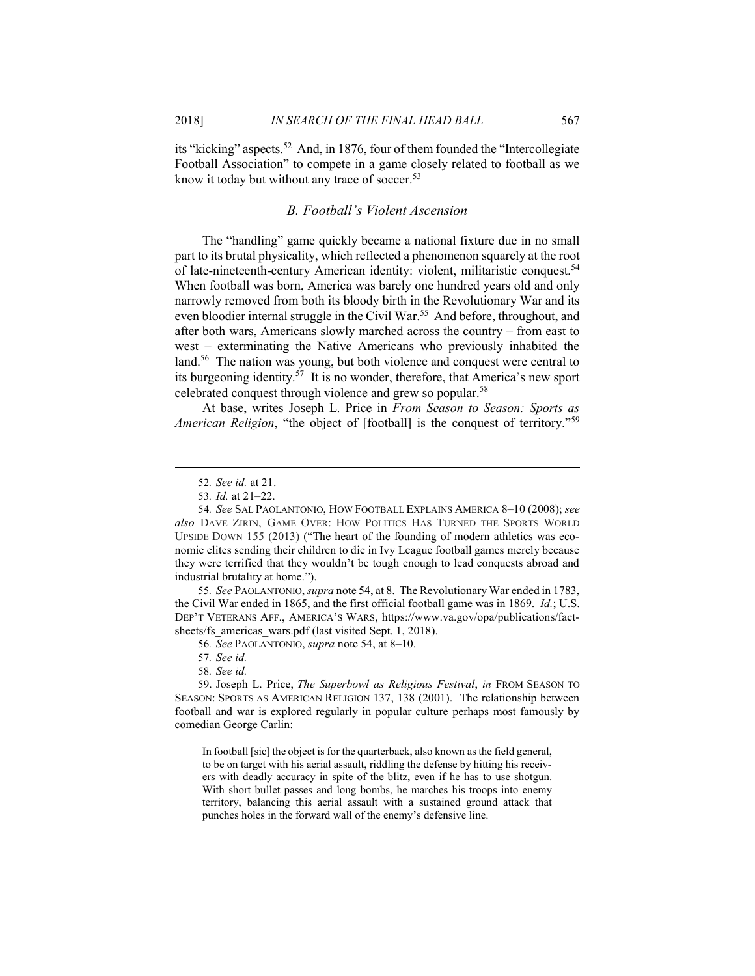its "kicking" aspects.<sup>52</sup> And, in 1876, four of them founded the "Intercollegiate Football Association" to compete in a game closely related to football as we know it today but without any trace of soccer.<sup>53</sup>

# *B. Football's Violent Ascension*

The "handling" game quickly became a national fixture due in no small part to its brutal physicality, which reflected a phenomenon squarely at the root of late-nineteenth-century American identity: violent, militaristic conquest.<sup>54</sup> When football was born, America was barely one hundred years old and only narrowly removed from both its bloody birth in the Revolutionary War and its even bloodier internal struggle in the Civil War.<sup>55</sup> And before, throughout, and after both wars, Americans slowly marched across the country – from east to west – exterminating the Native Americans who previously inhabited the land.<sup>56</sup> The nation was young, but both violence and conquest were central to its burgeoning identity.<sup>57</sup> It is no wonder, therefore, that America's new sport celebrated conquest through violence and grew so popular.<sup>58</sup>

At base, writes Joseph L. Price in *From Season to Season: Sports as American Religion*, "the object of [football] is the conquest of territory."<sup>59</sup>

55*. See* PAOLANTONIO, *supra* note 54, at 8. The Revolutionary War ended in 1783, the Civil War ended in 1865, and the first official football game was in 1869. *Id.*; U.S. DEP'T VETERANS AFF., AMERICA'S WARS, https://www.va.gov/opa/publications/factsheets/fs\_americas\_wars.pdf (last visited Sept. 1, 2018).

56*. See* PAOLANTONIO, *supra* note 54, at 8–10.

57*. See id.*

58*. See id.*

59. Joseph L. Price, *The Superbowl as Religious Festival*, *in* FROM SEASON TO SEASON: SPORTS AS AMERICAN RELIGION 137, 138 (2001). The relationship between football and war is explored regularly in popular culture perhaps most famously by comedian George Carlin:

In football [sic] the object is for the quarterback, also known as the field general, to be on target with his aerial assault, riddling the defense by hitting his receivers with deadly accuracy in spite of the blitz, even if he has to use shotgun. With short bullet passes and long bombs, he marches his troops into enemy territory, balancing this aerial assault with a sustained ground attack that punches holes in the forward wall of the enemy's defensive line.

<sup>52</sup>*. See id.* at 21.

<sup>53</sup>*. Id.* at 21–22.

<sup>54</sup>*. See* SAL PAOLANTONIO, HOW FOOTBALL EXPLAINS AMERICA 8–10 (2008); *see also* DAVE ZIRIN, GAME OVER: HOW POLITICS HAS TURNED THE SPORTS WORLD UPSIDE DOWN 155 (2013) ("The heart of the founding of modern athletics was economic elites sending their children to die in Ivy League football games merely because they were terrified that they wouldn't be tough enough to lead conquests abroad and industrial brutality at home.").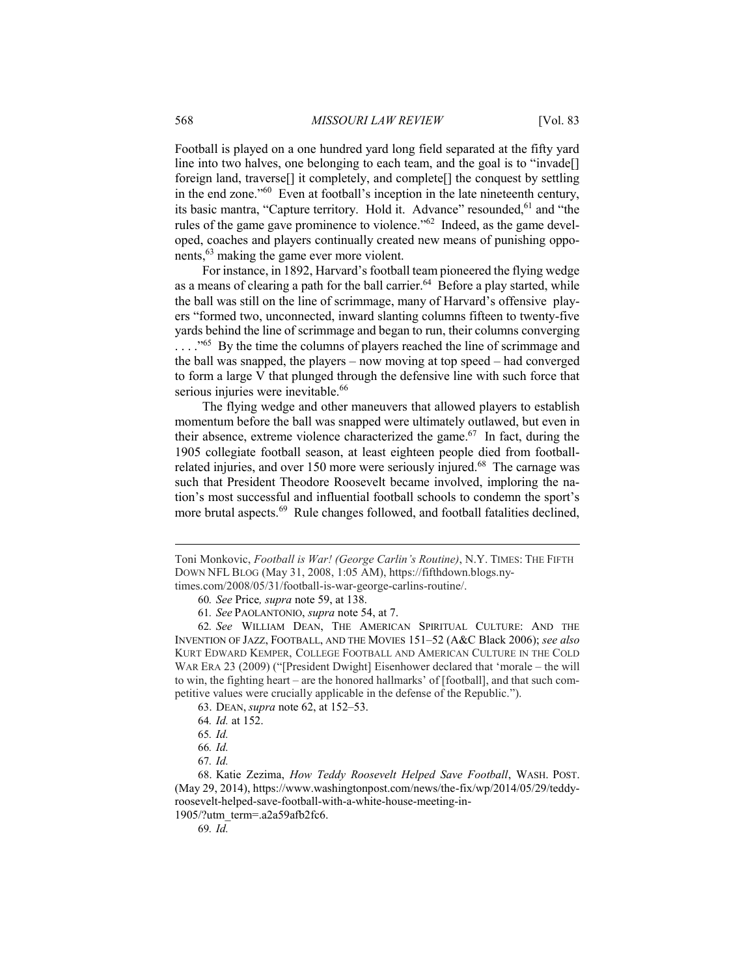Football is played on a one hundred yard long field separated at the fifty yard line into two halves, one belonging to each team, and the goal is to "invade<sup>[]</sup> foreign land, traverse[] it completely, and complete[] the conquest by settling in the end zone."<sup>60</sup> Even at football's inception in the late nineteenth century, its basic mantra, "Capture territory. Hold it. Advance" resounded, <sup>61</sup> and "the rules of the game gave prominence to violence."<sup>62</sup> Indeed, as the game developed, coaches and players continually created new means of punishing opponents,<sup>63</sup> making the game ever more violent.

For instance, in 1892, Harvard's football team pioneered the flying wedge as a means of clearing a path for the ball carrier.<sup>64</sup> Before a play started, while the ball was still on the line of scrimmage, many of Harvard's offensive players "formed two, unconnected, inward slanting columns fifteen to twenty-five yards behind the line of scrimmage and began to run, their columns converging ...."<sup>65</sup> By the time the columns of players reached the line of scrimmage and the ball was snapped, the players – now moving at top speed – had converged to form a large V that plunged through the defensive line with such force that serious injuries were inevitable.<sup>66</sup>

The flying wedge and other maneuvers that allowed players to establish momentum before the ball was snapped were ultimately outlawed, but even in their absence, extreme violence characterized the game. $67$  In fact, during the 1905 collegiate football season, at least eighteen people died from footballrelated injuries, and over 150 more were seriously injured.<sup>68</sup> The carnage was such that President Theodore Roosevelt became involved, imploring the nation's most successful and influential football schools to condemn the sport's more brutal aspects.<sup>69</sup> Rule changes followed, and football fatalities declined,

Toni Monkovic, *Football is War! (George Carlin's Routine)*, N.Y. TIMES: THE FIFTH DOWN NFL BLOG (May 31, 2008, 1:05 AM), https://fifthdown.blogs.nytimes.com/2008/05/31/football-is-war-george-carlins-routine/.

<sup>60</sup>*. See* Price*, supra* note 59, at 138.

<sup>61</sup>*. See* PAOLANTONIO, *supra* note 54, at 7.

<sup>62</sup>*. See* WILLIAM DEAN, THE AMERICAN SPIRITUAL CULTURE: AND THE INVENTION OF JAZZ, FOOTBALL, AND THE MOVIES 151–52 (A&C Black 2006); *see also* KURT EDWARD KEMPER, COLLEGE FOOTBALL AND AMERICAN CULTURE IN THE COLD WAR ERA 23 (2009) ("[President Dwight] Eisenhower declared that 'morale – the will to win, the fighting heart – are the honored hallmarks' of [football], and that such competitive values were crucially applicable in the defense of the Republic.").

<sup>63</sup>. DEAN, *supra* note 62, at 152–53.

<sup>64</sup>*. Id.* at 152.

<sup>65</sup>*. Id.*

<sup>66</sup>*. Id.*

<sup>67</sup>*. Id.*

<sup>68</sup>. Katie Zezima, *How Teddy Roosevelt Helped Save Football*, WASH. POST. (May 29, 2014), https://www.washingtonpost.com/news/the-fix/wp/2014/05/29/teddyroosevelt-helped-save-football-with-a-white-house-meeting-in-

<sup>1905/?</sup>utm\_term=.a2a59afb2fc6.

<sup>69</sup>*. Id.*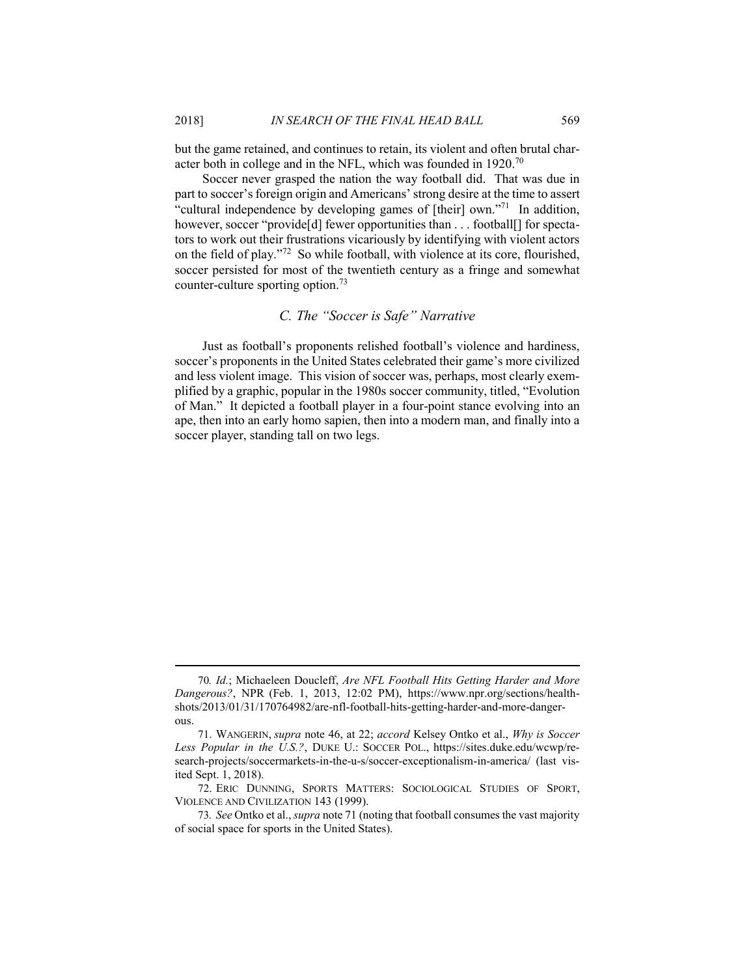but the game retained, and continues to retain, its violent and often brutal character both in college and in the NFL, which was founded in 1920.<sup>70</sup>

Soccer never grasped the nation the way football did. That was due in part to soccer's foreign origin and Americans' strong desire at the time to assert "cultural independence by developing games of [their] own."<sup>71</sup> In addition, however, soccer "provide[d] fewer opportunities than . . . football[] for spectators to work out their frustrations vicariously by identifying with violent actors on the field of play."<sup>72</sup> So while football, with violence at its core, flourished, soccer persisted for most of the twentieth century as a fringe and somewhat counter-culture sporting option.<sup>73</sup>

# *C. The "Soccer is Safe" Narrative*

Just as football's proponents relished football's violence and hardiness, soccer's proponents in the United States celebrated their game's more civilized and less violent image. This vision of soccer was, perhaps, most clearly exemplified by a graphic, popular in the 1980s soccer community, titled, "Evolution of Man." It depicted a football player in a four-point stance evolving into an ape, then into an early homo sapien, then into a modern man, and finally into a soccer player, standing tall on two legs.

<sup>70</sup>*. Id.*; Michaeleen Doucleff, *Are NFL Football Hits Getting Harder and More Dangerous?*, NPR (Feb. 1, 2013, 12:02 PM), https://www.npr.org/sections/healthshots/2013/01/31/170764982/are-nfl-football-hits-getting-harder-and-more-dangerous.

<sup>71</sup>. WANGERIN, *supra* note 46, at 22; *accord* Kelsey Ontko et al., *Why is Soccer Less Popular in the U.S.?*, DUKE U.: SOCCER POL., https://sites.duke.edu/wcwp/research-projects/soccermarkets-in-the-u-s/soccer-exceptionalism-in-america/ (last visited Sept. 1, 2018).

<sup>72</sup>. ERIC DUNNING, SPORTS MATTERS: SOCIOLOGICAL STUDIES OF SPORT, VIOLENCE AND CIVILIZATION 143 (1999).

<sup>73</sup>*. See* Ontko et al., *supra* note 71 (noting that football consumes the vast majority of social space for sports in the United States).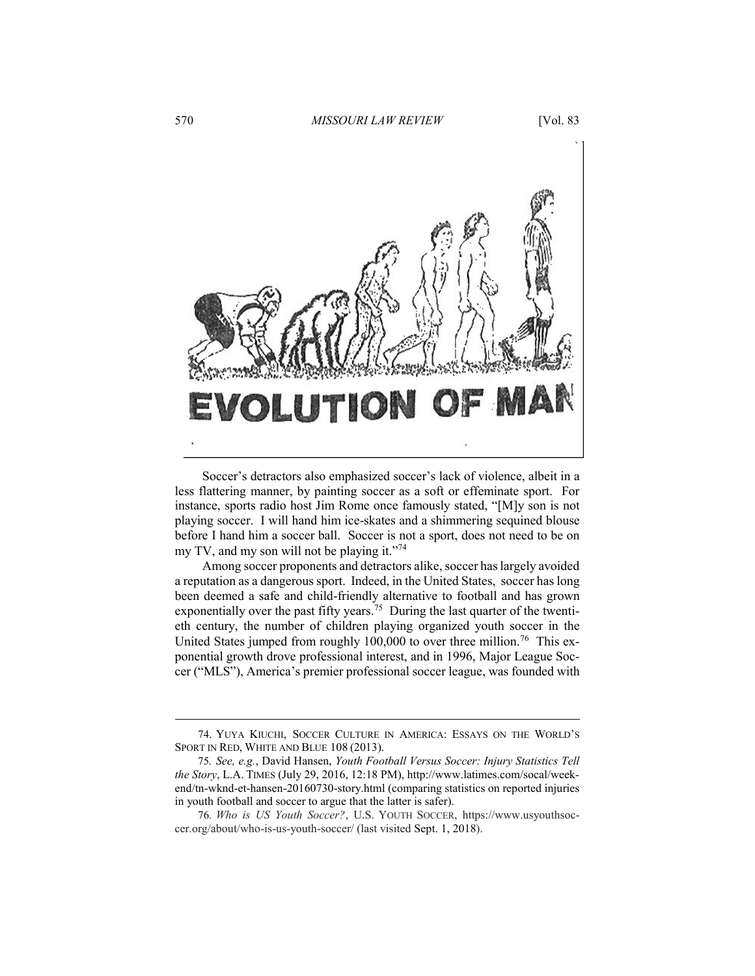

Soccer's detractors also emphasized soccer's lack of violence, albeit in a less flattering manner, by painting soccer as a soft or effeminate sport. For instance, sports radio host Jim Rome once famously stated, "[M]y son is not playing soccer. I will hand him ice-skates and a shimmering sequined blouse before I hand him a soccer ball. Soccer is not a sport, does not need to be on my TV, and my son will not be playing it."<sup>74</sup>

Among soccer proponents and detractors alike, soccer has largely avoided a reputation as a dangerous sport. Indeed, in the United States, soccer has long been deemed a safe and child-friendly alternative to football and has grown exponentially over the past fifty years.<sup>75</sup> During the last quarter of the twentieth century, the number of children playing organized youth soccer in the United States jumped from roughly 100,000 to over three million.<sup>76</sup> This exponential growth drove professional interest, and in 1996, Major League Soccer ("MLS"), America's premier professional soccer league, was founded with

<sup>74</sup>. YUYA KIUCHI, SOCCER CULTURE IN AMERICA: ESSAYS ON THE WORLD'S SPORT IN RED, WHITE AND BLUE 108 (2013).

<sup>75</sup>*. See, e.g.*, David Hansen, *Youth Football Versus Soccer: Injury Statistics Tell the Story*, L.A. TIMES (July 29, 2016, 12:18 PM), http://www.latimes.com/socal/weekend/tn-wknd-et-hansen-20160730-story.html (comparing statistics on reported injuries in youth football and soccer to argue that the latter is safer).

<sup>76</sup>*. Who is US Youth Soccer?*, U.S. YOUTH SOCCER, https://www.usyouthsoccer.org/about/who-is-us-youth-soccer/ (last visited Sept. 1, 2018).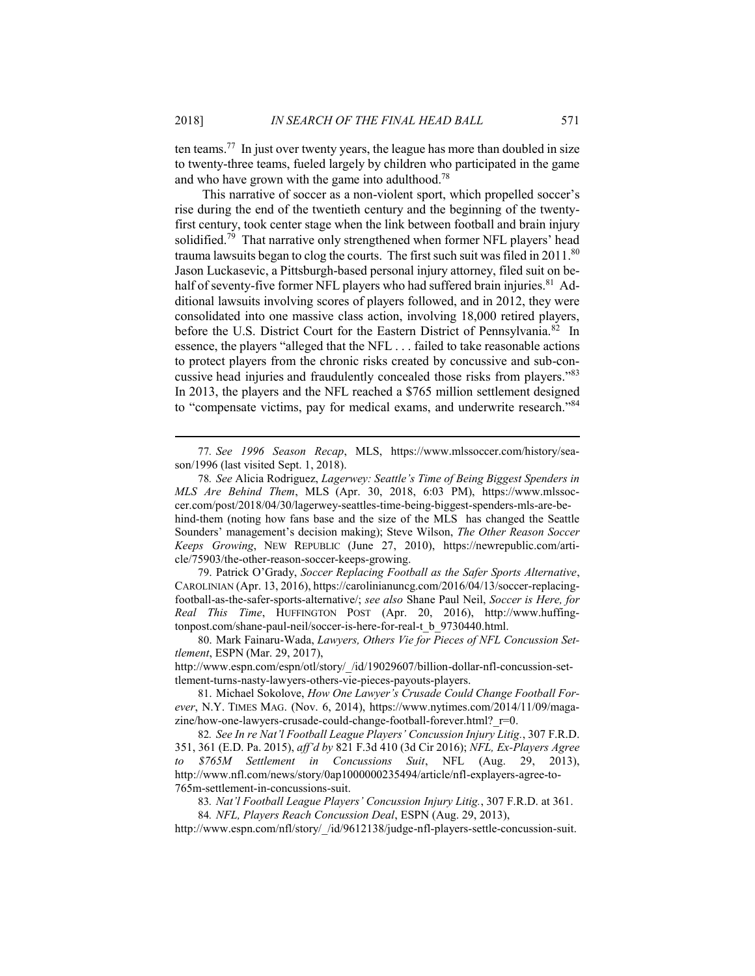ten teams.<sup>77</sup> In just over twenty years, the league has more than doubled in size to twenty-three teams, fueled largely by children who participated in the game and who have grown with the game into adulthood.<sup>78</sup>

This narrative of soccer as a non-violent sport, which propelled soccer's rise during the end of the twentieth century and the beginning of the twentyfirst century, took center stage when the link between football and brain injury solidified.<sup>79</sup> That narrative only strengthened when former NFL players' head trauma lawsuits began to clog the courts. The first such suit was filed in 2011.<sup>80</sup> Jason Luckasevic, a Pittsburgh-based personal injury attorney, filed suit on behalf of seventy-five former NFL players who had suffered brain injuries.<sup>81</sup> Additional lawsuits involving scores of players followed, and in 2012, they were consolidated into one massive class action, involving 18,000 retired players, before the U.S. District Court for the Eastern District of Pennsylvania.<sup>82</sup> In essence, the players "alleged that the NFL . . . failed to take reasonable actions to protect players from the chronic risks created by concussive and sub-concussive head injuries and fraudulently concealed those risks from players."<sup>83</sup> In 2013, the players and the NFL reached a \$765 million settlement designed to "compensate victims, pay for medical exams, and underwrite research."<sup>84</sup>

79. Patrick O'Grady, *Soccer Replacing Football as the Safer Sports Alternative*, CAROLINIAN (Apr. 13, 2016), https://carolinianuncg.com/2016/04/13/soccer-replacingfootball-as-the-safer-sports-alternative/; *see also* Shane Paul Neil, *Soccer is Here, for Real This Time*, HUFFINGTON POST (Apr. 20, 2016), http://www.huffingtonpost.com/shane-paul-neil/soccer-is-here-for-real-t\_b\_9730440.html.

80. Mark Fainaru-Wada, *Lawyers, Others Vie for Pieces of NFL Concussion Settlement*, ESPN (Mar. 29, 2017),

http://www.espn.com/espn/otl/story/\_/id/19029607/billion-dollar-nfl-concussion-settlement-turns-nasty-lawyers-others-vie-pieces-payouts-players.

82*. See In re Nat'l Football League Players' Concussion Injury Litig.*, 307 F.R.D. 351, 361 (E.D. Pa. 2015), *aff'd by* 821 F.3d 410 (3d Cir 2016); *NFL, Ex-Players Agree to \$765M Settlement in Concussions Suit*, NFL (Aug. 29, 2013), http://www.nfl.com/news/story/0ap1000000235494/article/nfl-explayers-agree-to-765m-settlement-in-concussions-suit.

83*. Nat'l Football League Players' Concussion Injury Litig.*, 307 F.R.D. at 361.

84*. NFL, Players Reach Concussion Deal*, ESPN (Aug. 29, 2013),

http://www.espn.com/nfl/story/\_/id/9612138/judge-nfl-players-settle-concussion-suit.

<sup>77</sup>*. See 1996 Season Recap*, MLS, https://www.mlssoccer.com/history/season/1996 (last visited Sept. 1, 2018).

<sup>78</sup>*. See* Alicia Rodriguez, *Lagerwey: Seattle's Time of Being Biggest Spenders in MLS Are Behind Them*, MLS (Apr. 30, 2018, 6:03 PM), https://www.mlssoccer.com/post/2018/04/30/lagerwey-seattles-time-being-biggest-spenders-mls-are-behind-them (noting how fans base and the size of the MLS has changed the Seattle Sounders' management's decision making); Steve Wilson, *The Other Reason Soccer Keeps Growing*, NEW REPUBLIC (June 27, 2010), https://newrepublic.com/article/75903/the-other-reason-soccer-keeps-growing.

<sup>81</sup>. Michael Sokolove, *How One Lawyer's Crusade Could Change Football Forever*, N.Y. TIMES MAG. (Nov. 6, 2014), https://www.nytimes.com/2014/11/09/magazine/how-one-lawyers-crusade-could-change-football-forever.html? r=0.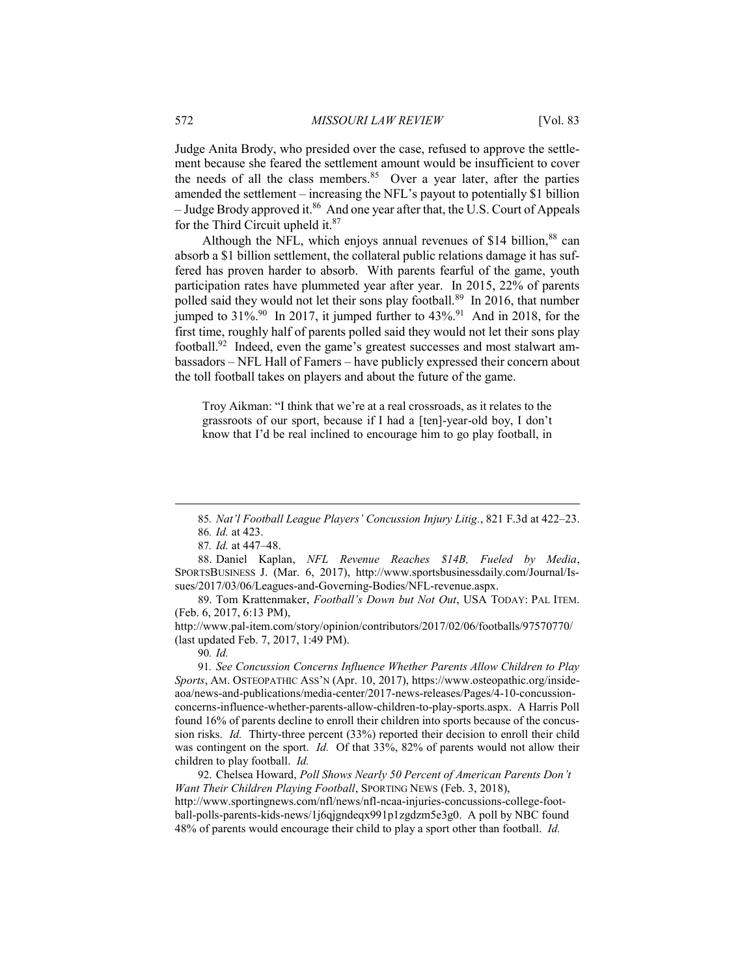Judge Anita Brody, who presided over the case, refused to approve the settlement because she feared the settlement amount would be insufficient to cover the needs of all the class members.  $85$  Over a year later, after the parties amended the settlement – increasing the NFL's payout to potentially \$1 billion – Judge Brody approved it.<sup>86</sup> And one year after that, the U.S. Court of Appeals for the Third Circuit upheld it.<sup>87</sup>

Although the NFL, which enjoys annual revenues of \$14 billion,  $88$  can absorb a \$1 billion settlement, the collateral public relations damage it has suffered has proven harder to absorb. With parents fearful of the game, youth participation rates have plummeted year after year. In 2015, 22% of parents polled said they would not let their sons play football.<sup>89</sup> In 2016, that number jumped to  $31\%$ <sup>90</sup> In 2017, it jumped further to  $43\%$ <sup>91</sup> And in 2018, for the first time, roughly half of parents polled said they would not let their sons play football.<sup>92</sup> Indeed, even the game's greatest successes and most stalwart ambassadors – NFL Hall of Famers – have publicly expressed their concern about the toll football takes on players and about the future of the game.

Troy Aikman: "I think that we're at a real crossroads, as it relates to the grassroots of our sport, because if I had a [ten]-year-old boy, I don't know that I'd be real inclined to encourage him to go play football, in

<sup>85</sup>*. Nat'l Football League Players' Concussion Injury Litig.*, 821 F.3d at 422–23. 86*. Id.* at 423.

<sup>87</sup>*. Id.* at 447–48.

<sup>88</sup>. Daniel Kaplan, *NFL Revenue Reaches \$14B, Fueled by Media*, SPORTSBUSINESS J. (Mar. 6, 2017), http://www.sportsbusinessdaily.com/Journal/Issues/2017/03/06/Leagues-and-Governing-Bodies/NFL-revenue.aspx.

<sup>89</sup>. Tom Krattenmaker, *Football's Down but Not Out*, USA TODAY: PAL ITEM. (Feb. 6, 2017, 6:13 PM),

http://www.pal-item.com/story/opinion/contributors/2017/02/06/footballs/97570770/ (last updated Feb. 7, 2017, 1:49 PM).

<sup>90</sup>*. Id.*

<sup>91</sup>*. See Concussion Concerns Influence Whether Parents Allow Children to Play Sports*, AM. OSTEOPATHIC ASS'N (Apr. 10, 2017), https://www.osteopathic.org/insideaoa/news-and-publications/media-center/2017-news-releases/Pages/4-10-concussionconcerns-influence-whether-parents-allow-children-to-play-sports.aspx. A Harris Poll found 16% of parents decline to enroll their children into sports because of the concussion risks. *Id.* Thirty-three percent (33%) reported their decision to enroll their child was contingent on the sport. *Id.* Of that 33%, 82% of parents would not allow their children to play football. *Id.*

<sup>92</sup>. Chelsea Howard, *Poll Shows Nearly 50 Percent of American Parents Don't Want Their Children Playing Football*, SPORTING NEWS (Feb. 3, 2018), http://www.sportingnews.com/nfl/news/nfl-ncaa-injuries-concussions-college-football-polls-parents-kids-news/1j6qjgndeqx991p1zgdzm5e3g0. A poll by NBC found 48% of parents would encourage their child to play a sport other than football. *Id.*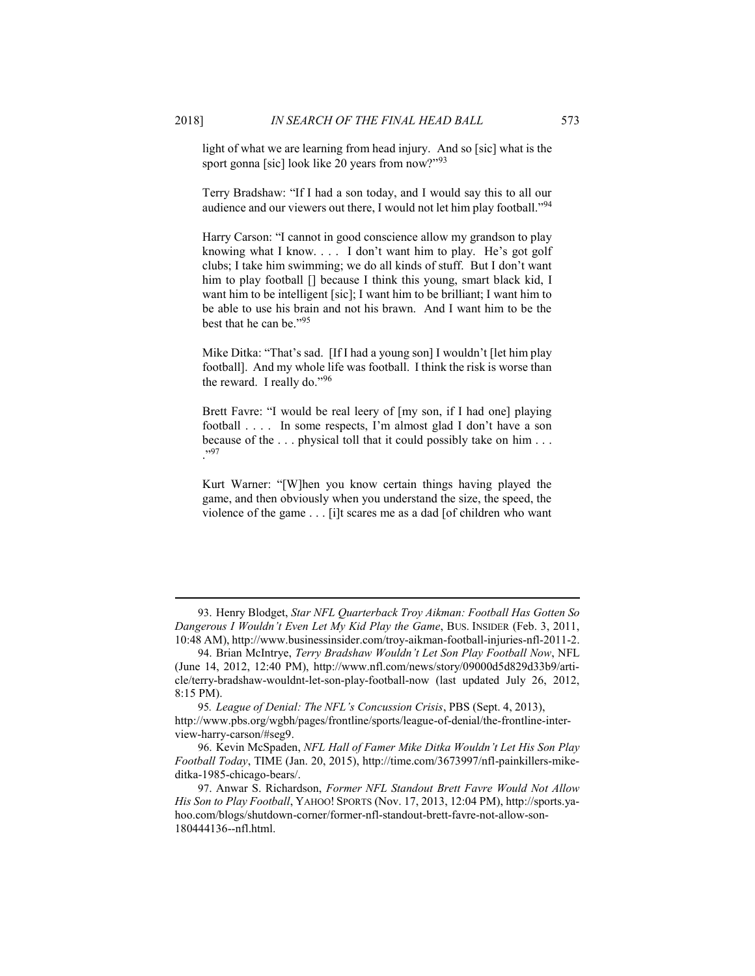light of what we are learning from head injury. And so [sic] what is the sport gonna [sic] look like 20 years from now?"<sup>93</sup>

Terry Bradshaw: "If I had a son today, and I would say this to all our audience and our viewers out there, I would not let him play football."<sup>94</sup>

Harry Carson: "I cannot in good conscience allow my grandson to play knowing what I know. . . . I don't want him to play. He's got golf clubs; I take him swimming; we do all kinds of stuff. But I don't want him to play football [] because I think this young, smart black kid, I want him to be intelligent [sic]; I want him to be brilliant; I want him to be able to use his brain and not his brawn. And I want him to be the best that he can be."<sup>95</sup>

Mike Ditka: "That's sad. [If I had a young son] I wouldn't [let him play football]. And my whole life was football. I think the risk is worse than the reward. I really do."<sup>96</sup>

Brett Favre: "I would be real leery of [my son, if I had one] playing football . . . . In some respects, I'm almost glad I don't have a son because of the . . . physical toll that it could possibly take on him . . . ."<sup>97</sup>

Kurt Warner: "[W]hen you know certain things having played the game, and then obviously when you understand the size, the speed, the violence of the game . . . [i]t scares me as a dad [of children who want

93. Henry Blodget, *Star NFL Quarterback Troy Aikman: Football Has Gotten So Dangerous I Wouldn't Even Let My Kid Play the Game*, BUS. INSIDER (Feb. 3, 2011, 10:48 AM), http://www.businessinsider.com/troy-aikman-football-injuries-nfl-2011-2.

95*. League of Denial: The NFL's Concussion Crisis*, PBS (Sept. 4, 2013), http://www.pbs.org/wgbh/pages/frontline/sports/league-of-denial/the-frontline-interview-harry-carson/#seg9.

<sup>94</sup>. Brian McIntrye, *Terry Bradshaw Wouldn't Let Son Play Football Now*, NFL (June 14, 2012, 12:40 PM), http://www.nfl.com/news/story/09000d5d829d33b9/article/terry-bradshaw-wouldnt-let-son-play-football-now (last updated July 26, 2012, 8:15 PM).

<sup>96</sup>. Kevin McSpaden, *NFL Hall of Famer Mike Ditka Wouldn't Let His Son Play Football Today*, TIME (Jan. 20, 2015), http://time.com/3673997/nfl-painkillers-mikeditka-1985-chicago-bears/.

<sup>97</sup>. Anwar S. Richardson, *Former NFL Standout Brett Favre Would Not Allow His Son to Play Football*, YAHOO! SPORTS (Nov. 17, 2013, 12:04 PM), http://sports.yahoo.com/blogs/shutdown-corner/former-nfl-standout-brett-favre-not-allow-son-180444136--nfl.html.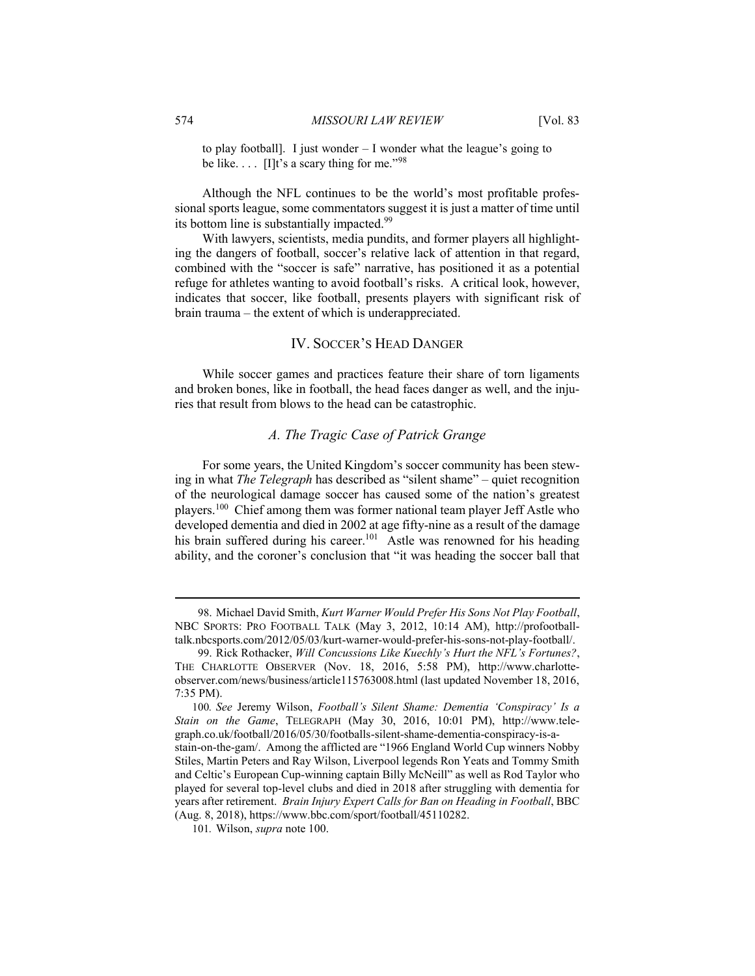to play football]. I just wonder – I wonder what the league's going to be like.  $\ldots$  [I]t's a scary thing for me."<sup>98</sup>

Although the NFL continues to be the world's most profitable professional sports league, some commentators suggest it is just a matter of time until its bottom line is substantially impacted.<sup>99</sup>

With lawyers, scientists, media pundits, and former players all highlighting the dangers of football, soccer's relative lack of attention in that regard, combined with the "soccer is safe" narrative, has positioned it as a potential refuge for athletes wanting to avoid football's risks. A critical look, however, indicates that soccer, like football, presents players with significant risk of brain trauma – the extent of which is underappreciated.

#### IV. SOCCER'S HEAD DANGER

While soccer games and practices feature their share of torn ligaments and broken bones, like in football, the head faces danger as well, and the injuries that result from blows to the head can be catastrophic.

# *A. The Tragic Case of Patrick Grange*

For some years, the United Kingdom's soccer community has been stewing in what *The Telegraph* has described as "silent shame" – quiet recognition of the neurological damage soccer has caused some of the nation's greatest players.<sup>100</sup> Chief among them was former national team player Jeff Astle who developed dementia and died in 2002 at age fifty-nine as a result of the damage his brain suffered during his career.<sup>101</sup> Astle was renowned for his heading ability, and the coroner's conclusion that "it was heading the soccer ball that

<sup>98</sup>. Michael David Smith, *Kurt Warner Would Prefer His Sons Not Play Football*, NBC SPORTS: PRO FOOTBALL TALK (May 3, 2012, 10:14 AM), http://profootballtalk.nbcsports.com/2012/05/03/kurt-warner-would-prefer-his-sons-not-play-football/.

<sup>99</sup>. Rick Rothacker, *Will Concussions Like Kuechly's Hurt the NFL's Fortunes?*, THE CHARLOTTE OBSERVER (Nov. 18, 2016, 5:58 PM), http://www.charlotteobserver.com/news/business/article115763008.html (last updated November 18, 2016, 7:35 PM).

<sup>100</sup>*. See* Jeremy Wilson, *Football's Silent Shame: Dementia 'Conspiracy' Is a Stain on the Game*, TELEGRAPH (May 30, 2016, 10:01 PM), http://www.telegraph.co.uk/football/2016/05/30/footballs-silent-shame-dementia-conspiracy-is-astain-on-the-gam/. Among the afflicted are "1966 England World Cup winners Nobby Stiles, Martin Peters and Ray Wilson, Liverpool legends Ron Yeats and Tommy Smith and Celtic's European Cup-winning captain Billy McNeill" as well as Rod Taylor who played for several top-level clubs and died in 2018 after struggling with dementia for years after retirement. *Brain Injury Expert Calls for Ban on Heading in Football*, BBC (Aug. 8, 2018), https://www.bbc.com/sport/football/45110282.

<sup>101</sup>*.* Wilson, *supra* note 100.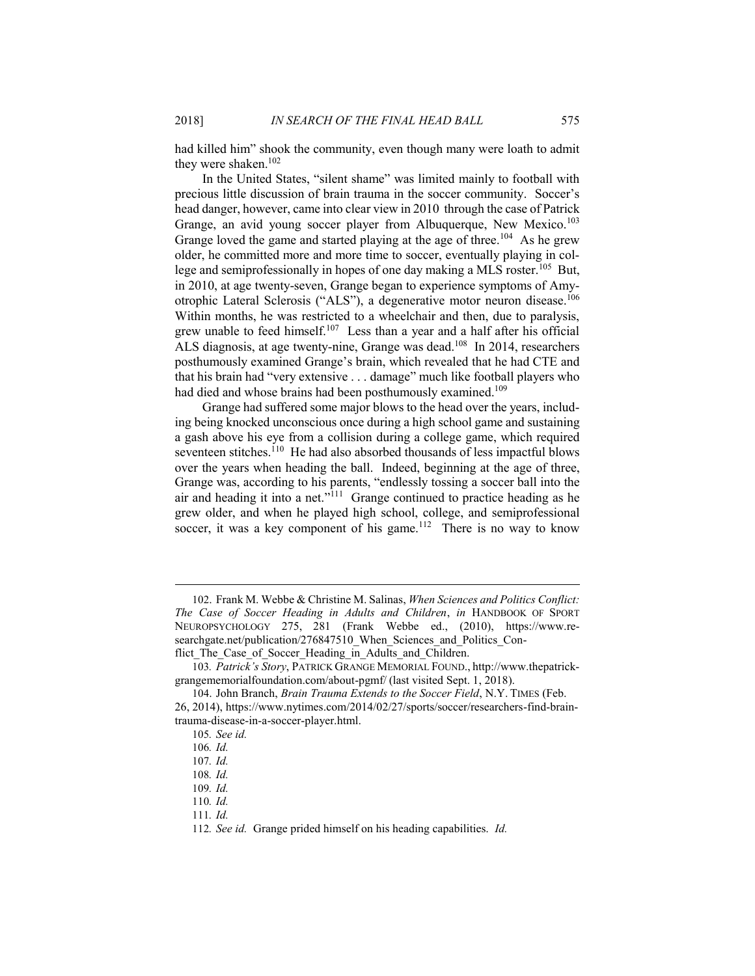had killed him" shook the community, even though many were loath to admit they were shaken.<sup>102</sup>

In the United States, "silent shame" was limited mainly to football with precious little discussion of brain trauma in the soccer community. Soccer's head danger, however, came into clear view in 2010 through the case of Patrick Grange, an avid young soccer player from Albuquerque, New Mexico.<sup>103</sup> Grange loved the game and started playing at the age of three.<sup>104</sup> As he grew older, he committed more and more time to soccer, eventually playing in college and semiprofessionally in hopes of one day making a MLS roster.<sup>105</sup> But, in 2010, at age twenty-seven, Grange began to experience symptoms of Amyotrophic Lateral Sclerosis ("ALS"), a degenerative motor neuron disease.<sup>106</sup> Within months, he was restricted to a wheelchair and then, due to paralysis, grew unable to feed himself.<sup>107</sup> Less than a year and a half after his official ALS diagnosis, at age twenty-nine, Grange was dead.<sup>108</sup> In 2014, researchers posthumously examined Grange's brain, which revealed that he had CTE and that his brain had "very extensive . . . damage" much like football players who had died and whose brains had been posthumously examined.<sup>109</sup>

Grange had suffered some major blows to the head over the years, including being knocked unconscious once during a high school game and sustaining a gash above his eye from a collision during a college game, which required seventeen stitches.<sup>110</sup> He had also absorbed thousands of less impactful blows over the years when heading the ball. Indeed, beginning at the age of three, Grange was, according to his parents, "endlessly tossing a soccer ball into the air and heading it into a net."<sup>111</sup> Grange continued to practice heading as he grew older, and when he played high school, college, and semiprofessional soccer, it was a key component of his game.<sup>112</sup> There is no way to know

111*. Id.*

<sup>102</sup>. Frank M. Webbe & Christine M. Salinas, *When Sciences and Politics Conflict: The Case of Soccer Heading in Adults and Children*, *in* HANDBOOK OF SPORT NEUROPSYCHOLOGY 275, 281 (Frank Webbe ed., (2010), https://www.researchgate.net/publication/276847510 When Sciences and Politics Conflict The Case of Soccer Heading in Adults and Children.

<sup>103</sup>*. Patrick's Story*, PATRICK GRANGE MEMORIAL FOUND., http://www.thepatrickgrangememorialfoundation.com/about-pgmf/ (last visited Sept. 1, 2018).

<sup>104</sup>. John Branch, *Brain Trauma Extends to the Soccer Field*, N.Y. TIMES (Feb. 26, 2014), https://www.nytimes.com/2014/02/27/sports/soccer/researchers-find-braintrauma-disease-in-a-soccer-player.html.

<sup>105</sup>*. See id.*

<sup>106</sup>*. Id.*

<sup>107</sup>*. Id.*

<sup>108</sup>*. Id.*

<sup>109</sup>*. Id.*

<sup>110</sup>*. Id.*

<sup>112</sup>*. See id.* Grange prided himself on his heading capabilities. *Id.*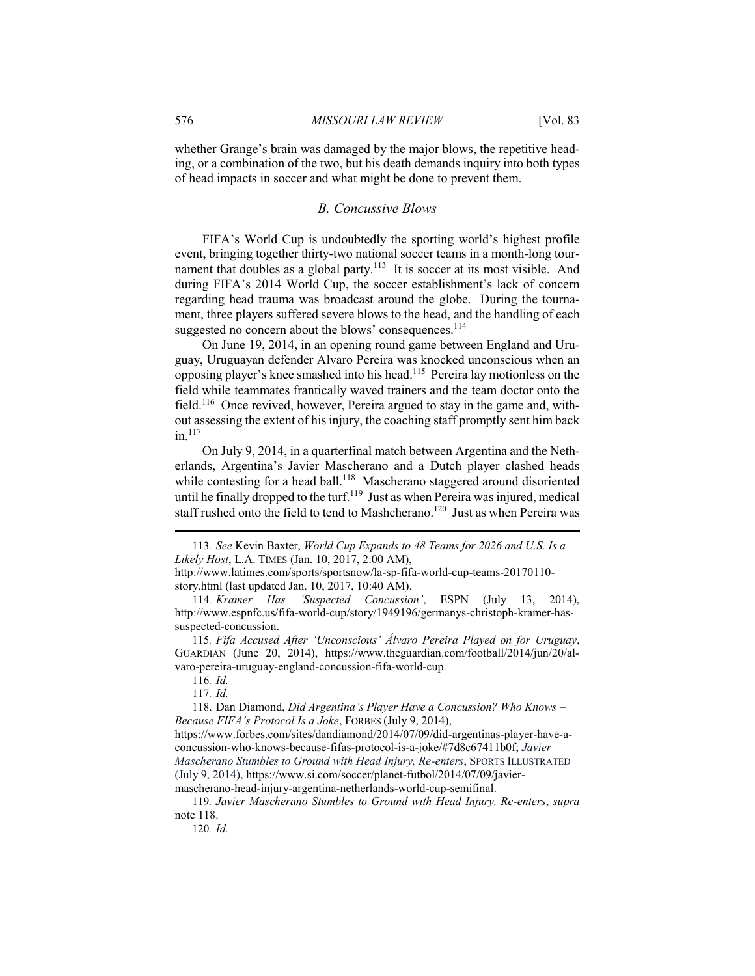whether Grange's brain was damaged by the major blows, the repetitive heading, or a combination of the two, but his death demands inquiry into both types of head impacts in soccer and what might be done to prevent them.

#### *B. Concussive Blows*

FIFA's World Cup is undoubtedly the sporting world's highest profile event, bringing together thirty-two national soccer teams in a month-long tournament that doubles as a global party.<sup>113</sup> It is soccer at its most visible. And during FIFA's 2014 World Cup, the soccer establishment's lack of concern regarding head trauma was broadcast around the globe. During the tournament, three players suffered severe blows to the head, and the handling of each suggested no concern about the blows' consequences.<sup>114</sup>

On June 19, 2014, in an opening round game between England and Uruguay, Uruguayan defender Alvaro Pereira was knocked unconscious when an opposing player's knee smashed into his head.<sup>115</sup> Pereira lay motionless on the field while teammates frantically waved trainers and the team doctor onto the field.<sup>116</sup> Once revived, however, Pereira argued to stay in the game and, without assessing the extent of his injury, the coaching staff promptly sent him back in.<sup>117</sup>

On July 9, 2014, in a quarterfinal match between Argentina and the Netherlands, Argentina's Javier Mascherano and a Dutch player clashed heads while contesting for a head ball.<sup>118</sup> Mascherano staggered around disoriented until he finally dropped to the turf.<sup>119</sup> Just as when Pereira was injured, medical staff rushed onto the field to tend to Mashcherano.<sup>120</sup> Just as when Pereira was

116*. Id.*

117*. Id.*

118. Dan Diamond, *Did Argentina's Player Have a Concussion? Who Knows – Because FIFA's Protocol Is a Joke*, FORBES (July 9, 2014),

120*. Id.*

<sup>113</sup>*. See* Kevin Baxter, *World Cup Expands to 48 Teams for 2026 and U.S. Is a Likely Host*, L.A. TIMES (Jan. 10, 2017, 2:00 AM),

http://www.latimes.com/sports/sportsnow/la-sp-fifa-world-cup-teams-20170110 story.html (last updated Jan. 10, 2017, 10:40 AM).

<sup>114</sup>*. Kramer Has 'Suspected Concussion'*, ESPN (July 13, 2014), http://www.espnfc.us/fifa-world-cup/story/1949196/germanys-christoph-kramer-hassuspected-concussion.

<sup>115</sup>*. Fifa Accused After 'Unconscious' Álvaro Pereira Played on for Uruguay*, GUARDIAN (June 20, 2014), https://www.theguardian.com/football/2014/jun/20/alvaro-pereira-uruguay-england-concussion-fifa-world-cup.

https://www.forbes.com/sites/dandiamond/2014/07/09/did-argentinas-player-have-aconcussion-who-knows-because-fifas-protocol-is-a-joke/#7d8c67411b0f; *Javier Mascherano Stumbles to Ground with Head Injury, Re-enters*, SPORTS ILLUSTRATED (July 9, 2014), https://www.si.com/soccer/planet-futbol/2014/07/09/javiermascherano-head-injury-argentina-netherlands-world-cup-semifinal.

<sup>119</sup>*. Javier Mascherano Stumbles to Ground with Head Injury, Re-enters*, *supra*  note 118.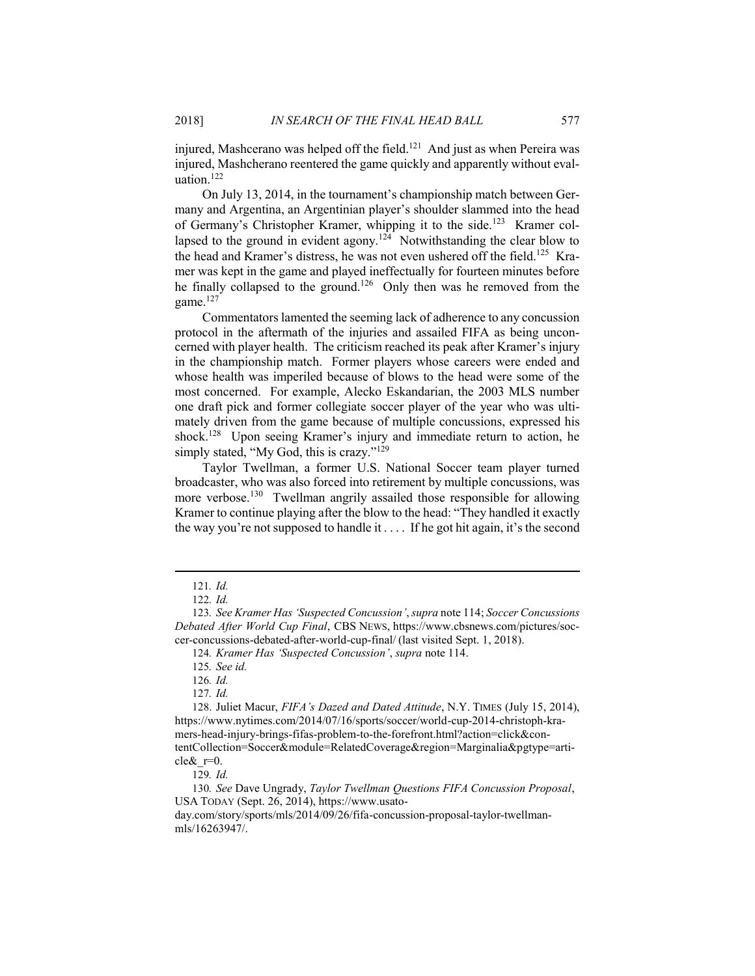injured, Mashcerano was helped off the field.<sup>121</sup> And just as when Pereira was injured, Mashcherano reentered the game quickly and apparently without evaluation.<sup>122</sup>

On July 13, 2014, in the tournament's championship match between Germany and Argentina, an Argentinian player's shoulder slammed into the head of Germany's Christopher Kramer, whipping it to the side.<sup>123</sup> Kramer collapsed to the ground in evident agony.<sup>124</sup> Notwithstanding the clear blow to the head and Kramer's distress, he was not even ushered off the field.<sup>125</sup> Kramer was kept in the game and played ineffectually for fourteen minutes before he finally collapsed to the ground.<sup>126</sup> Only then was he removed from the game.<sup>127</sup>

Commentators lamented the seeming lack of adherence to any concussion protocol in the aftermath of the injuries and assailed FIFA as being unconcerned with player health. The criticism reached its peak after Kramer's injury in the championship match. Former players whose careers were ended and whose health was imperiled because of blows to the head were some of the most concerned. For example, Alecko Eskandarian, the 2003 MLS number one draft pick and former collegiate soccer player of the year who was ultimately driven from the game because of multiple concussions, expressed his shock.<sup>128</sup> Upon seeing Kramer's injury and immediate return to action, he simply stated, "My God, this is crazy."<sup>129</sup>

Taylor Twellman, a former U.S. National Soccer team player turned broadcaster, who was also forced into retirement by multiple concussions, was more verbose.<sup>130</sup> Twellman angrily assailed those responsible for allowing Kramer to continue playing after the blow to the head: "They handled it exactly the way you're not supposed to handle it . . . . If he got hit again, it's the second

<sup>121</sup>*. Id.*

<sup>122</sup>*. Id.*

<sup>123</sup>*. See Kramer Has 'Suspected Concussion'*, *supra* note 114; *Soccer Concussions Debated After World Cup Final*, CBS NEWS, https://www.cbsnews.com/pictures/soccer-concussions-debated-after-world-cup-final/ (last visited Sept. 1, 2018).

<sup>124</sup>*. Kramer Has 'Suspected Concussion'*, *supra* note 114.

<sup>125</sup>*. See id.*

<sup>126</sup>*. Id.*

<sup>127</sup>*. Id.*

<sup>128</sup>. Juliet Macur, *FIFA's Dazed and Dated Attitude*, N.Y. TIMES (July 15, 2014), https://www.nytimes.com/2014/07/16/sports/soccer/world-cup-2014-christoph-kramers-head-injury-brings-fifas-problem-to-the-forefront.html?action=click&contentCollection=Soccer&module=RelatedCoverage&region=Marginalia&pgtype=article $\&$ r=0.

<sup>129</sup>*. Id.*

<sup>130</sup>*. See* Dave Ungrady, *Taylor Twellman Questions FIFA Concussion Proposal*, USA TODAY (Sept. 26, 2014), https://www.usato-

day.com/story/sports/mls/2014/09/26/fifa-concussion-proposal-taylor-twellmanmls/16263947/.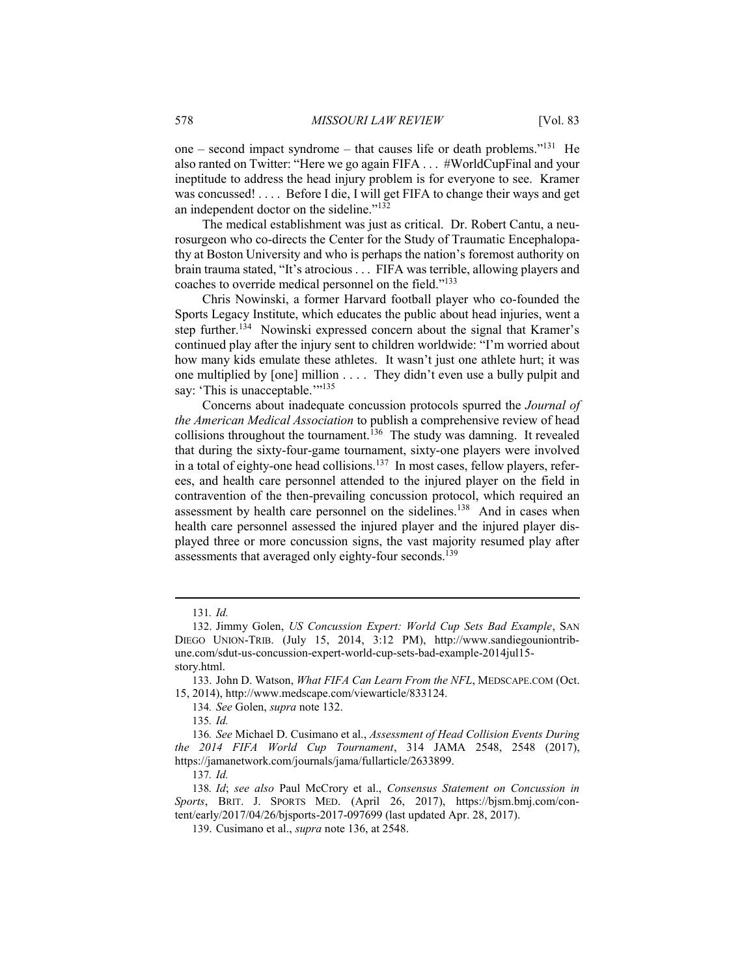one – second impact syndrome – that causes life or death problems."<sup>131</sup> He also ranted on Twitter: "Here we go again FIFA . . . #WorldCupFinal and your ineptitude to address the head injury problem is for everyone to see. Kramer was concussed! . . . . Before I die, I will get FIFA to change their ways and get an independent doctor on the sideline."<sup>132</sup>

The medical establishment was just as critical. Dr. Robert Cantu, a neurosurgeon who co-directs the Center for the Study of Traumatic Encephalopathy at Boston University and who is perhaps the nation's foremost authority on brain trauma stated, "It's atrocious . . . FIFA was terrible, allowing players and coaches to override medical personnel on the field."<sup>133</sup>

Chris Nowinski, a former Harvard football player who co-founded the Sports Legacy Institute, which educates the public about head injuries, went a step further.<sup>134</sup> Nowinski expressed concern about the signal that Kramer's continued play after the injury sent to children worldwide: "I'm worried about how many kids emulate these athletes. It wasn't just one athlete hurt; it was one multiplied by [one] million . . . . They didn't even use a bully pulpit and say: 'This is unacceptable.'"<sup>135</sup>

Concerns about inadequate concussion protocols spurred the *Journal of the American Medical Association* to publish a comprehensive review of head collisions throughout the tournament.<sup>136</sup> The study was damning. It revealed that during the sixty-four-game tournament, sixty-one players were involved in a total of eighty-one head collisions.<sup>137</sup> In most cases, fellow players, referees, and health care personnel attended to the injured player on the field in contravention of the then-prevailing concussion protocol, which required an assessment by health care personnel on the sidelines.<sup>138</sup> And in cases when health care personnel assessed the injured player and the injured player displayed three or more concussion signs, the vast majority resumed play after assessments that averaged only eighty-four seconds.<sup>139</sup>

<sup>131</sup>*. Id.*

<sup>132</sup>. Jimmy Golen, *US Concussion Expert: World Cup Sets Bad Example*, SAN DIEGO UNION-TRIB. (July 15, 2014, 3:12 PM), http://www.sandiegouniontribune.com/sdut-us-concussion-expert-world-cup-sets-bad-example-2014jul15 story.html.

<sup>133</sup>. John D. Watson, *What FIFA Can Learn From the NFL*, MEDSCAPE.COM (Oct. 15, 2014), http://www.medscape.com/viewarticle/833124.

<sup>134</sup>*. See* Golen, *supra* note 132.

<sup>135</sup>*. Id.*

<sup>136</sup>*. See* Michael D. Cusimano et al., *Assessment of Head Collision Events During the 2014 FIFA World Cup Tournament*, 314 JAMA 2548, 2548 (2017), https://jamanetwork.com/journals/jama/fullarticle/2633899.

<sup>137</sup>*. Id.*

<sup>138</sup>*. Id*; *see also* Paul McCrory et al., *Consensus Statement on Concussion in Sports*, BRIT. J. SPORTS MED. (April 26, 2017), https://bjsm.bmj.com/content/early/2017/04/26/bjsports-2017-097699 (last updated Apr. 28, 2017).

<sup>139</sup>. Cusimano et al., *supra* note 136, at 2548.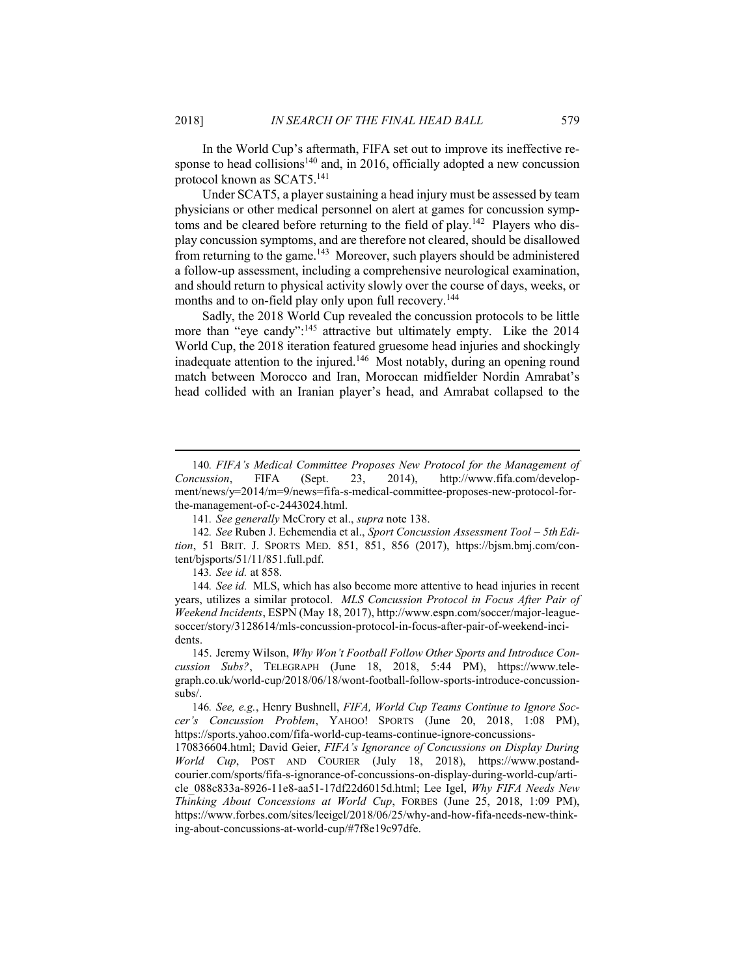In the World Cup's aftermath, FIFA set out to improve its ineffective response to head collisions<sup>140</sup> and, in 2016, officially adopted a new concussion protocol known as SCAT5.<sup>141</sup>

Under SCAT5, a player sustaining a head injury must be assessed by team physicians or other medical personnel on alert at games for concussion symptoms and be cleared before returning to the field of play.<sup>142</sup> Players who display concussion symptoms, and are therefore not cleared, should be disallowed from returning to the game.<sup>143</sup> Moreover, such players should be administered a follow-up assessment, including a comprehensive neurological examination, and should return to physical activity slowly over the course of days, weeks, or months and to on-field play only upon full recovery.<sup>144</sup>

Sadly, the 2018 World Cup revealed the concussion protocols to be little more than "eye candy":<sup>145</sup> attractive but ultimately empty. Like the 2014 World Cup, the 2018 iteration featured gruesome head injuries and shockingly inadequate attention to the injured.<sup>146</sup> Most notably, during an opening round match between Morocco and Iran, Moroccan midfielder Nordin Amrabat's head collided with an Iranian player's head, and Amrabat collapsed to the

<sup>140</sup>*. FIFA's Medical Committee Proposes New Protocol for the Management of Concussion*, FIFA (Sept. 23, 2014), http://www.fifa.com/development/news/y=2014/m=9/news=fifa-s-medical-committee-proposes-new-protocol-forthe-management-of-c-2443024.html.

<sup>141</sup>*. See generally* McCrory et al., *supra* note 138.

<sup>142</sup>*. See* Ruben J. Echemendia et al., *Sport Concussion Assessment Tool – 5th Edition*, 51 BRIT. J. SPORTS MED. 851, 851, 856 (2017), https://bjsm.bmj.com/content/bjsports/51/11/851.full.pdf.

<sup>143</sup>*. See id.* at 858.

<sup>144</sup>*. See id.* MLS, which has also become more attentive to head injuries in recent years, utilizes a similar protocol. *MLS Concussion Protocol in Focus After Pair of Weekend Incidents*, ESPN (May 18, 2017), http://www.espn.com/soccer/major-leaguesoccer/story/3128614/mls-concussion-protocol-in-focus-after-pair-of-weekend-incidents.

<sup>145</sup>. Jeremy Wilson, *Why Won't Football Follow Other Sports and Introduce Concussion Subs?*, TELEGRAPH (June 18, 2018, 5:44 PM), https://www.telegraph.co.uk/world-cup/2018/06/18/wont-football-follow-sports-introduce-concussionsubs/.

<sup>146</sup>*. See, e.g.*, Henry Bushnell, *FIFA, World Cup Teams Continue to Ignore Soccer's Concussion Problem*, YAHOO! SPORTS (June 20, 2018, 1:08 PM), https://sports.yahoo.com/fifa-world-cup-teams-continue-ignore-concussions-

<sup>170836604.</sup>html; David Geier, *FIFA's Ignorance of Concussions on Display During World Cup*, POST AND COURIER (July 18, 2018), https://www.postandcourier.com/sports/fifa-s-ignorance-of-concussions-on-display-during-world-cup/article\_088c833a-8926-11e8-aa51-17df22d6015d.html; Lee Igel, *Why FIFA Needs New Thinking About Concessions at World Cup*, FORBES (June 25, 2018, 1:09 PM), https://www.forbes.com/sites/leeigel/2018/06/25/why-and-how-fifa-needs-new-thinking-about-concussions-at-world-cup/#7f8e19c97dfe.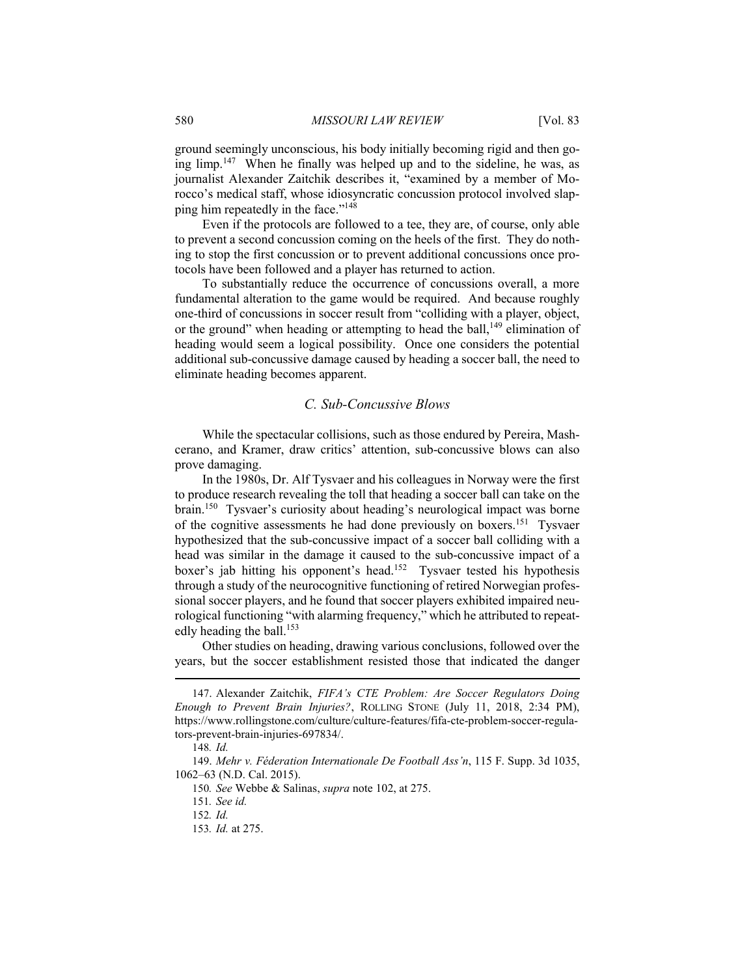ground seemingly unconscious, his body initially becoming rigid and then going limp.<sup>147</sup> When he finally was helped up and to the sideline, he was, as journalist Alexander Zaitchik describes it, "examined by a member of Morocco's medical staff, whose idiosyncratic concussion protocol involved slapping him repeatedly in the face."<sup>148</sup>

Even if the protocols are followed to a tee, they are, of course, only able to prevent a second concussion coming on the heels of the first. They do nothing to stop the first concussion or to prevent additional concussions once protocols have been followed and a player has returned to action.

To substantially reduce the occurrence of concussions overall, a more fundamental alteration to the game would be required. And because roughly one-third of concussions in soccer result from "colliding with a player, object, or the ground" when heading or attempting to head the ball, $^{149}$  elimination of heading would seem a logical possibility. Once one considers the potential additional sub-concussive damage caused by heading a soccer ball, the need to eliminate heading becomes apparent.

## *C. Sub-Concussive Blows*

While the spectacular collisions, such as those endured by Pereira, Mashcerano, and Kramer, draw critics' attention, sub-concussive blows can also prove damaging.

In the 1980s, Dr. Alf Tysvaer and his colleagues in Norway were the first to produce research revealing the toll that heading a soccer ball can take on the brain.<sup>150</sup> Tysvaer's curiosity about heading's neurological impact was borne of the cognitive assessments he had done previously on boxers.<sup>151</sup> Tysvaer hypothesized that the sub-concussive impact of a soccer ball colliding with a head was similar in the damage it caused to the sub-concussive impact of a boxer's jab hitting his opponent's head.<sup>152</sup> Tysvaer tested his hypothesis through a study of the neurocognitive functioning of retired Norwegian professional soccer players, and he found that soccer players exhibited impaired neurological functioning "with alarming frequency," which he attributed to repeatedly heading the ball.<sup>153</sup>

Other studies on heading, drawing various conclusions, followed over the years, but the soccer establishment resisted those that indicated the danger

<sup>147</sup>. Alexander Zaitchik, *FIFA's CTE Problem: Are Soccer Regulators Doing Enough to Prevent Brain Injuries?*, ROLLING STONE (July 11, 2018, 2:34 PM), https://www.rollingstone.com/culture/culture-features/fifa-cte-problem-soccer-regulators-prevent-brain-injuries-697834/.

<sup>148</sup>*. Id.*

<sup>149</sup>. *Mehr v. Féderation Internationale De Football Ass'n*, 115 F. Supp. 3d 1035, 1062–63 (N.D. Cal. 2015).

<sup>150</sup>*. See* Webbe & Salinas, *supra* note 102, at 275.

<sup>151</sup>*. See id.*

<sup>152</sup>*. Id.*

<sup>153</sup>*. Id.* at 275.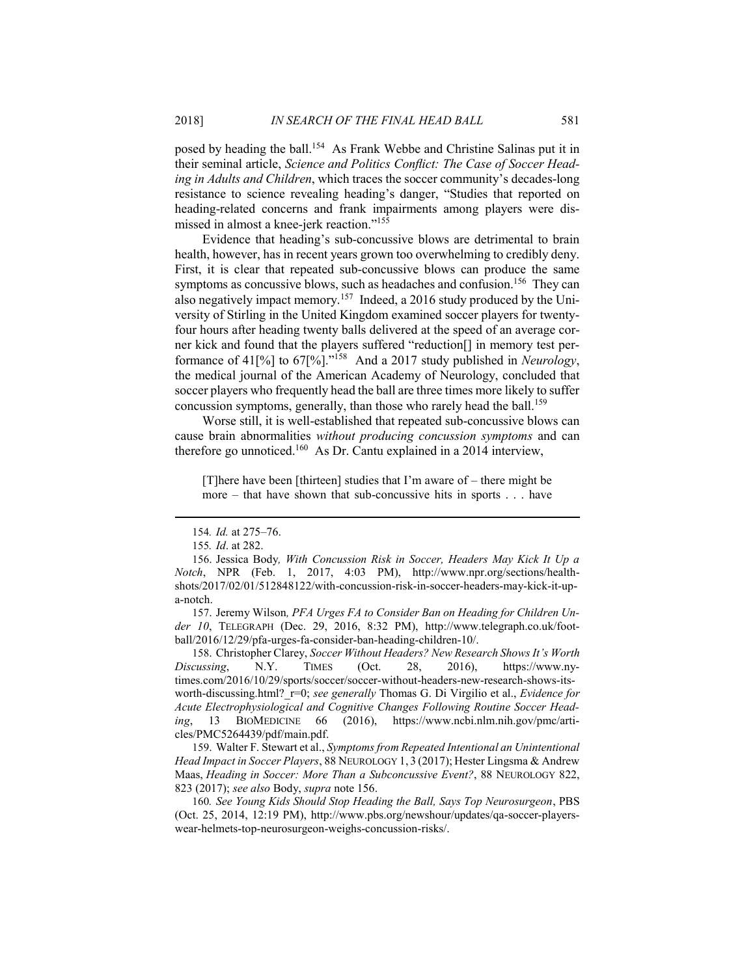posed by heading the ball.<sup>154</sup> As Frank Webbe and Christine Salinas put it in their seminal article, *Science and Politics Conflict: The Case of Soccer Heading in Adults and Children*, which traces the soccer community's decades-long resistance to science revealing heading's danger, "Studies that reported on heading-related concerns and frank impairments among players were dismissed in almost a knee-jerk reaction."<sup>155</sup>

Evidence that heading's sub-concussive blows are detrimental to brain health, however, has in recent years grown too overwhelming to credibly deny. First, it is clear that repeated sub-concussive blows can produce the same symptoms as concussive blows, such as headaches and confusion.<sup>156</sup> They can also negatively impact memory.<sup>157</sup> Indeed, a 2016 study produced by the University of Stirling in the United Kingdom examined soccer players for twentyfour hours after heading twenty balls delivered at the speed of an average corner kick and found that the players suffered "reduction[] in memory test performance of 41[%] to 67[%]."<sup>158</sup> And a 2017 study published in *Neurology*, the medical journal of the American Academy of Neurology, concluded that soccer players who frequently head the ball are three times more likely to suffer concussion symptoms, generally, than those who rarely head the ball.<sup>159</sup>

Worse still, it is well-established that repeated sub-concussive blows can cause brain abnormalities *without producing concussion symptoms* and can therefore go unnoticed.<sup>160</sup> As Dr. Cantu explained in a 2014 interview,

[T]here have been [thirteen] studies that I'm aware of – there might be more – that have shown that sub-concussive hits in sports . . . have

157. Jeremy Wilson*, PFA Urges FA to Consider Ban on Heading for Children Under 10*, TELEGRAPH (Dec. 29, 2016, 8:32 PM), http://www.telegraph.co.uk/football/2016/12/29/pfa-urges-fa-consider-ban-heading-children-10/.

158. Christopher Clarey, *Soccer Without Headers? New Research Shows It's Worth Discussing*, N.Y. TIMES (Oct. 28, 2016), https://www.nytimes.com/2016/10/29/sports/soccer/soccer-without-headers-new-research-shows-itsworth-discussing.html?\_r=0; *see generally* Thomas G. Di Virgilio et al., *Evidence for Acute Electrophysiological and Cognitive Changes Following Routine Soccer Heading*, 13 BIOMEDICINE 66 (2016), https://www.ncbi.nlm.nih.gov/pmc/articles/PMC5264439/pdf/main.pdf.

159. Walter F. Stewart et al., *Symptoms from Repeated Intentional an Unintentional Head Impact in Soccer Players*, 88 NEUROLOGY 1, 3 (2017); Hester Lingsma & Andrew Maas, *Heading in Soccer: More Than a Subconcussive Event?*, 88 NEUROLOGY 822, 823 (2017); *see also* Body, *supra* note 156.

160*. See Young Kids Should Stop Heading the Ball, Says Top Neurosurgeon*, PBS (Oct. 25, 2014, 12:19 PM), http://www.pbs.org/newshour/updates/qa-soccer-playerswear-helmets-top-neurosurgeon-weighs-concussion-risks/.

<sup>154</sup>*. Id.* at 275–76.

<sup>155</sup>*. Id*. at 282.

<sup>156</sup>. Jessica Body*, With Concussion Risk in Soccer, Headers May Kick It Up a Notch*, NPR (Feb. 1, 2017, 4:03 PM), http://www.npr.org/sections/healthshots/2017/02/01/512848122/with-concussion-risk-in-soccer-headers-may-kick-it-upa-notch.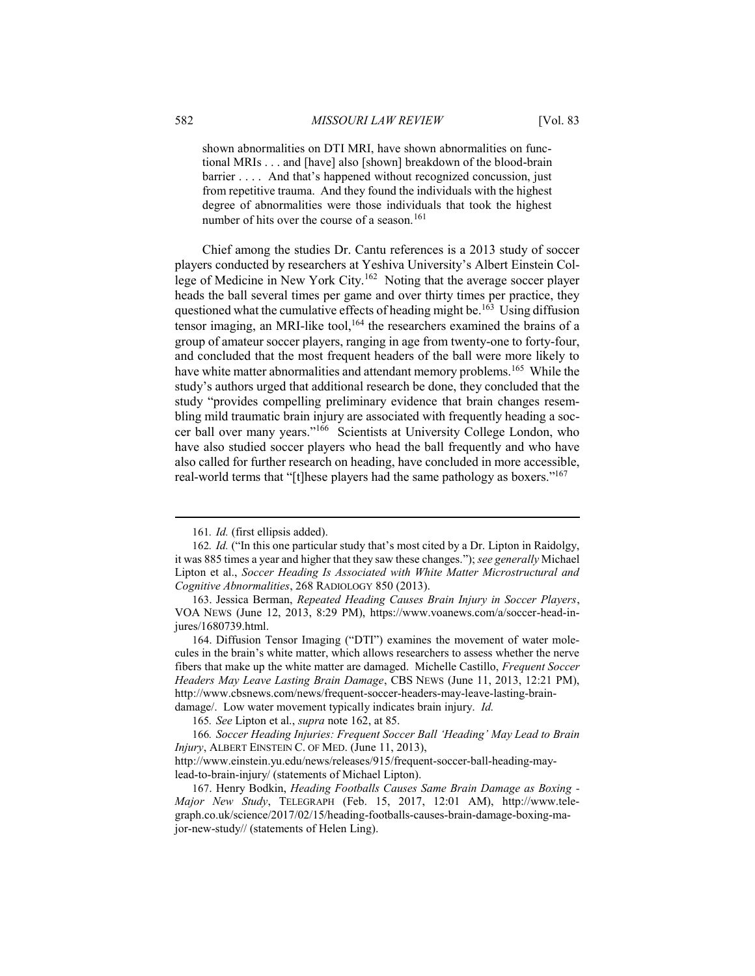shown abnormalities on DTI MRI, have shown abnormalities on functional MRIs . . . and [have] also [shown] breakdown of the blood-brain barrier .... And that's happened without recognized concussion, just from repetitive trauma. And they found the individuals with the highest degree of abnormalities were those individuals that took the highest number of hits over the course of a season.<sup>161</sup>

Chief among the studies Dr. Cantu references is a 2013 study of soccer players conducted by researchers at Yeshiva University's Albert Einstein College of Medicine in New York City.<sup>162</sup> Noting that the average soccer player heads the ball several times per game and over thirty times per practice, they questioned what the cumulative effects of heading might be.<sup>163</sup> Using diffusion tensor imaging, an MRI-like tool,<sup>164</sup> the researchers examined the brains of a group of amateur soccer players, ranging in age from twenty-one to forty-four, and concluded that the most frequent headers of the ball were more likely to have white matter abnormalities and attendant memory problems.<sup>165</sup> While the study's authors urged that additional research be done, they concluded that the study "provides compelling preliminary evidence that brain changes resembling mild traumatic brain injury are associated with frequently heading a soccer ball over many years."<sup>166</sup> Scientists at University College London, who have also studied soccer players who head the ball frequently and who have also called for further research on heading, have concluded in more accessible, real-world terms that "[t]hese players had the same pathology as boxers."<sup>167</sup>

<sup>161</sup>*. Id.* (first ellipsis added).

<sup>162</sup>*. Id.* ("In this one particular study that's most cited by a Dr. Lipton in Raidolgy, it was 885 times a year and higher that they saw these changes."); *see generally* Michael Lipton et al., *Soccer Heading Is Associated with White Matter Microstructural and Cognitive Abnormalities*, 268 RADIOLOGY 850 (2013).

<sup>163</sup>. Jessica Berman, *Repeated Heading Causes Brain Injury in Soccer Players*, VOA NEWS (June 12, 2013, 8:29 PM), https://www.voanews.com/a/soccer-head-injures/1680739.html.

<sup>164</sup>. Diffusion Tensor Imaging ("DTI") examines the movement of water molecules in the brain's white matter, which allows researchers to assess whether the nerve fibers that make up the white matter are damaged. Michelle Castillo, *Frequent Soccer Headers May Leave Lasting Brain Damage*, CBS NEWS (June 11, 2013, 12:21 PM), http://www.cbsnews.com/news/frequent-soccer-headers-may-leave-lasting-braindamage/. Low water movement typically indicates brain injury. *Id.*

<sup>165</sup>*. See* Lipton et al., *supra* note 162, at 85.

<sup>166</sup>*. Soccer Heading Injuries: Frequent Soccer Ball 'Heading' May Lead to Brain Injury*, ALBERT EINSTEIN C. OF MED. (June 11, 2013),

http://www.einstein.yu.edu/news/releases/915/frequent-soccer-ball-heading-maylead-to-brain-injury/ (statements of Michael Lipton).

<sup>167</sup>. Henry Bodkin, *Heading Footballs Causes Same Brain Damage as Boxing - Major New Study*, TELEGRAPH (Feb. 15, 2017, 12:01 AM), http://www.telegraph.co.uk/science/2017/02/15/heading-footballs-causes-brain-damage-boxing-major-new-study// (statements of Helen Ling).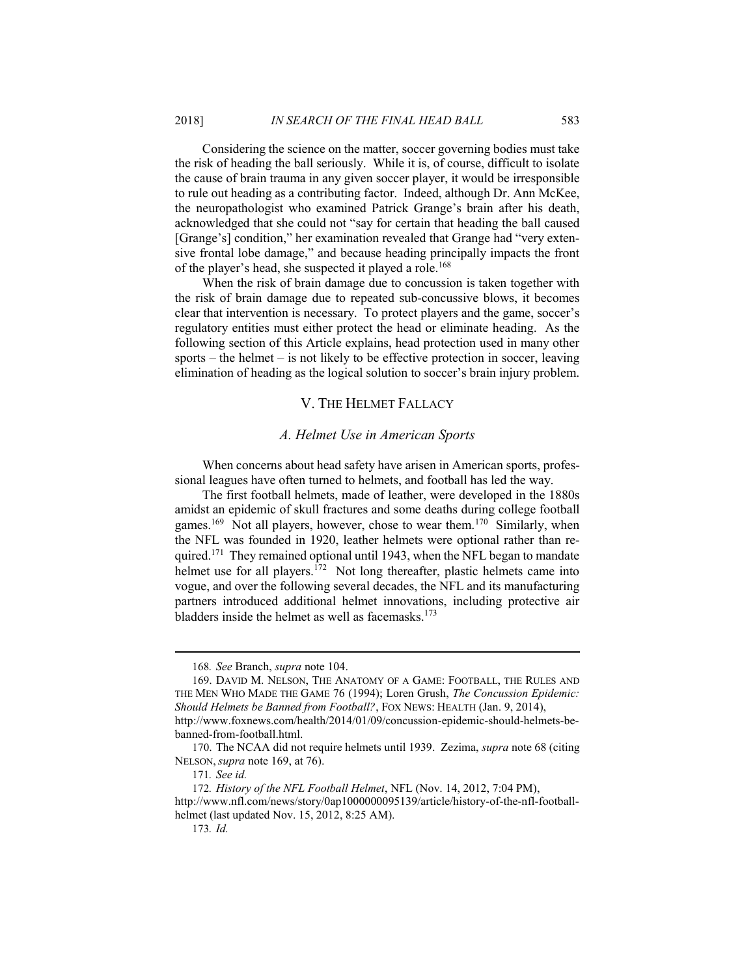Considering the science on the matter, soccer governing bodies must take the risk of heading the ball seriously. While it is, of course, difficult to isolate the cause of brain trauma in any given soccer player, it would be irresponsible to rule out heading as a contributing factor. Indeed, although Dr. Ann McKee, the neuropathologist who examined Patrick Grange's brain after his death, acknowledged that she could not "say for certain that heading the ball caused [Grange's] condition," her examination revealed that Grange had "very extensive frontal lobe damage," and because heading principally impacts the front of the player's head, she suspected it played a role.<sup>168</sup>

When the risk of brain damage due to concussion is taken together with the risk of brain damage due to repeated sub-concussive blows, it becomes clear that intervention is necessary. To protect players and the game, soccer's regulatory entities must either protect the head or eliminate heading. As the following section of this Article explains, head protection used in many other sports – the helmet – is not likely to be effective protection in soccer, leaving elimination of heading as the logical solution to soccer's brain injury problem.

#### V. THE HELMET FALLACY

#### *A. Helmet Use in American Sports*

When concerns about head safety have arisen in American sports, professional leagues have often turned to helmets, and football has led the way.

The first football helmets, made of leather, were developed in the 1880s amidst an epidemic of skull fractures and some deaths during college football games.<sup>169</sup> Not all players, however, chose to wear them.<sup>170</sup> Similarly, when the NFL was founded in 1920, leather helmets were optional rather than required.<sup>171</sup> They remained optional until 1943, when the NFL began to mandate helmet use for all players.<sup>172</sup> Not long thereafter, plastic helmets came into vogue, and over the following several decades, the NFL and its manufacturing partners introduced additional helmet innovations, including protective air bladders inside the helmet as well as facemasks.<sup>173</sup>

http://www.nfl.com/news/story/0ap1000000095139/article/history-of-the-nfl-footballhelmet (last updated Nov. 15, 2012, 8:25 AM).

<sup>168</sup>*. See* Branch, *supra* note 104.

<sup>169</sup>. DAVID M. NELSON, THE ANATOMY OF A GAME: FOOTBALL, THE RULES AND THE MEN WHO MADE THE GAME 76 (1994); Loren Grush, *The Concussion Epidemic: Should Helmets be Banned from Football?*, FOX NEWS: HEALTH (Jan. 9, 2014),

http://www.foxnews.com/health/2014/01/09/concussion-epidemic-should-helmets-bebanned-from-football.html.

<sup>170</sup>. The NCAA did not require helmets until 1939. Zezima, *supra* note 68 (citing NELSON, *supra* note 169, at 76).

<sup>171</sup>*. See id.*

<sup>172</sup>*. History of the NFL Football Helmet*, NFL (Nov. 14, 2012, 7:04 PM),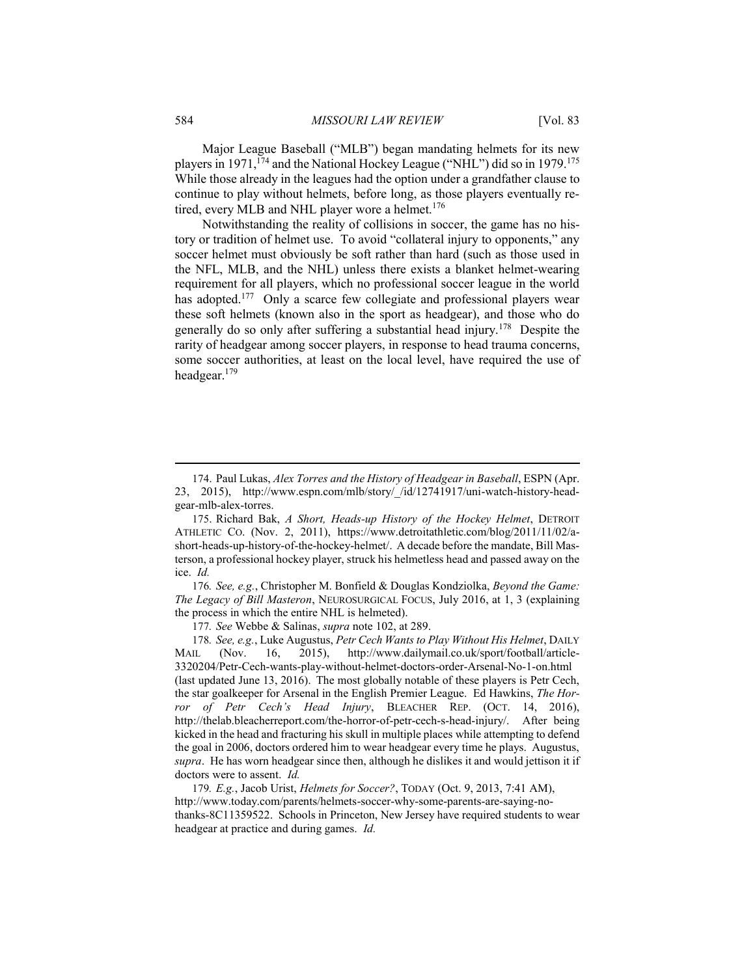Major League Baseball ("MLB") began mandating helmets for its new players in 1971, <sup>174</sup> and the National Hockey League ("NHL") did so in 1979.<sup>175</sup> While those already in the leagues had the option under a grandfather clause to continue to play without helmets, before long, as those players eventually retired, every MLB and NHL player wore a helmet.<sup>176</sup>

Notwithstanding the reality of collisions in soccer, the game has no history or tradition of helmet use. To avoid "collateral injury to opponents," any soccer helmet must obviously be soft rather than hard (such as those used in the NFL, MLB, and the NHL) unless there exists a blanket helmet-wearing requirement for all players, which no professional soccer league in the world has adopted.<sup>177</sup> Only a scarce few collegiate and professional players wear these soft helmets (known also in the sport as headgear), and those who do generally do so only after suffering a substantial head injury.<sup>178</sup> Despite the rarity of headgear among soccer players, in response to head trauma concerns, some soccer authorities, at least on the local level, have required the use of headgear.<sup>179</sup>

176*. See, e.g.*, Christopher M. Bonfield & Douglas Kondziolka, *Beyond the Game: The Legacy of Bill Masteron*, NEUROSURGICAL FOCUS, July 2016, at 1, 3 (explaining the process in which the entire NHL is helmeted).

177*. See* Webbe & Salinas, *supra* note 102, at 289.

178*. See, e.g.*, Luke Augustus, *Petr Cech Wants to Play Without His Helmet*, DAILY MAIL (Nov. 16, 2015), http://www.dailymail.co.uk/sport/football/article-3320204/Petr-Cech-wants-play-without-helmet-doctors-order-Arsenal-No-1-on.html (last updated June 13, 2016). The most globally notable of these players is Petr Cech, the star goalkeeper for Arsenal in the English Premier League. Ed Hawkins, *The Horror of Petr Cech's Head Injury*, BLEACHER REP. (OCT. 14, 2016), http://thelab.bleacherreport.com/the-horror-of-petr-cech-s-head-injury/. After being kicked in the head and fracturing his skull in multiple places while attempting to defend the goal in 2006, doctors ordered him to wear headgear every time he plays. Augustus, *supra*. He has worn headgear since then, although he dislikes it and would jettison it if doctors were to assent. *Id.*

179*. E.g.*, Jacob Urist, *Helmets for Soccer?*, TODAY (Oct. 9, 2013, 7:41 AM), http://www.today.com/parents/helmets-soccer-why-some-parents-are-saying-nothanks-8C11359522. Schools in Princeton, New Jersey have required students to wear headgear at practice and during games. *Id.*

<sup>174</sup>. Paul Lukas, *Alex Torres and the History of Headgear in Baseball*, ESPN (Apr. 23, 2015), http://www.espn.com/mlb/story/\_/id/12741917/uni-watch-history-headgear-mlb-alex-torres.

<sup>175</sup>. Richard Bak, *A Short, Heads-up History of the Hockey Helmet*, DETROIT ATHLETIC CO. (Nov. 2, 2011), https://www.detroitathletic.com/blog/2011/11/02/ashort-heads-up-history-of-the-hockey-helmet/. A decade before the mandate, Bill Masterson, a professional hockey player, struck his helmetless head and passed away on the ice. *Id.*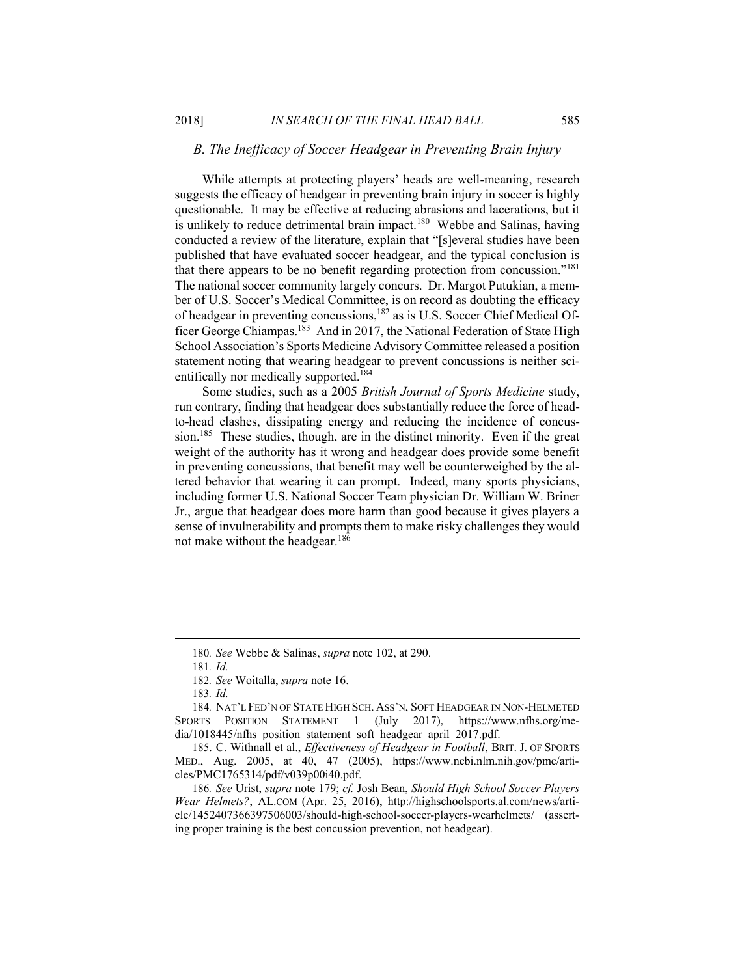# *B. The Inefficacy of Soccer Headgear in Preventing Brain Injury*

While attempts at protecting players' heads are well-meaning, research suggests the efficacy of headgear in preventing brain injury in soccer is highly questionable. It may be effective at reducing abrasions and lacerations, but it is unlikely to reduce detrimental brain impact.<sup>180</sup> Webbe and Salinas, having conducted a review of the literature, explain that "[s]everal studies have been published that have evaluated soccer headgear, and the typical conclusion is that there appears to be no benefit regarding protection from concussion."<sup>181</sup> The national soccer community largely concurs. Dr. Margot Putukian, a member of U.S. Soccer's Medical Committee, is on record as doubting the efficacy of headgear in preventing concussions,<sup>182</sup> as is U.S. Soccer Chief Medical Officer George Chiampas.<sup>183</sup> And in 2017, the National Federation of State High School Association's Sports Medicine Advisory Committee released a position statement noting that wearing headgear to prevent concussions is neither scientifically nor medically supported.<sup>184</sup>

Some studies, such as a 2005 *British Journal of Sports Medicine* study, run contrary, finding that headgear does substantially reduce the force of headto-head clashes, dissipating energy and reducing the incidence of concussion.<sup>185</sup> These studies, though, are in the distinct minority. Even if the great weight of the authority has it wrong and headgear does provide some benefit in preventing concussions, that benefit may well be counterweighed by the altered behavior that wearing it can prompt. Indeed, many sports physicians, including former U.S. National Soccer Team physician Dr. William W. Briner Jr., argue that headgear does more harm than good because it gives players a sense of invulnerability and prompts them to make risky challenges they would not make without the headgear.<sup>186</sup>

<sup>180</sup>*. See* Webbe & Salinas, *supra* note 102, at 290.

<sup>181</sup>*. Id.*

<sup>182</sup>*. See* Woitalla, *supra* note 16.

<sup>183</sup>*. Id.*

<sup>184</sup>*.* NAT'L FED'N OF STATE HIGH SCH. ASS'N, SOFT HEADGEAR IN NON-HELMETED SPORTS POSITION STATEMENT 1 (July 2017), https://www.nfhs.org/media/1018445/nfhs\_position\_statement\_soft\_headgear\_april\_2017.pdf.

<sup>185</sup>. C. Withnall et al., *Effectiveness of Headgear in Football*, BRIT. J. OF SPORTS MED., Aug. 2005, at 40, 47 (2005), https://www.ncbi.nlm.nih.gov/pmc/articles/PMC1765314/pdf/v039p00i40.pdf.

<sup>186</sup>*. See* Urist, *supra* note 179; *cf.* Josh Bean, *Should High School Soccer Players Wear Helmets?*, AL.COM (Apr. 25, 2016), http://highschoolsports.al.com/news/article/1452407366397506003/should-high-school-soccer-players-wearhelmets/ (asserting proper training is the best concussion prevention, not headgear).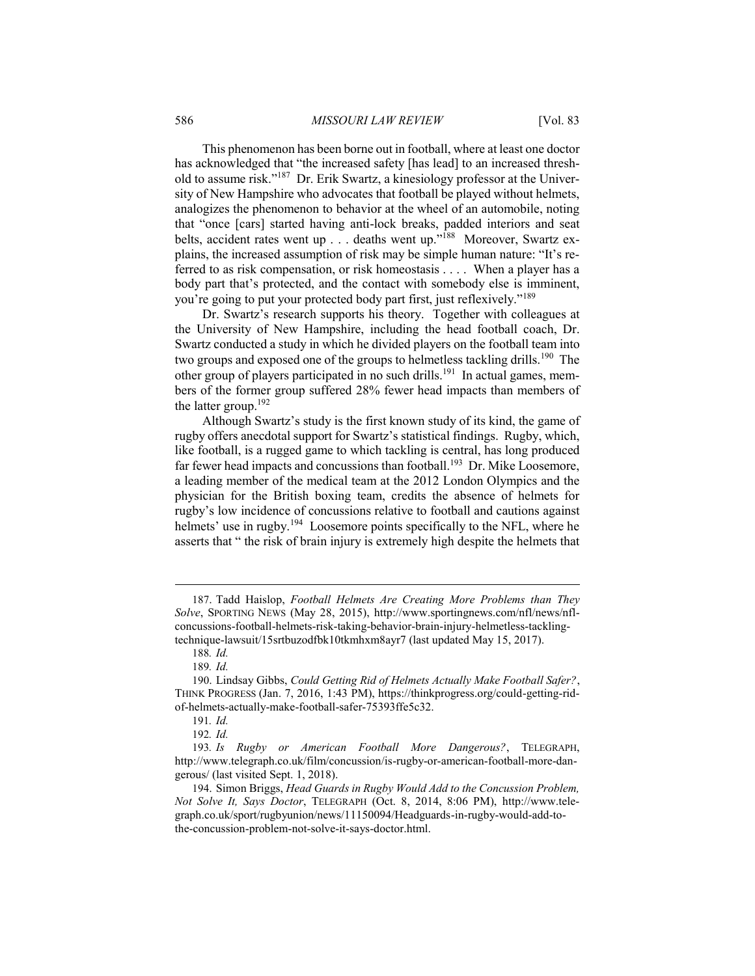This phenomenon has been borne out in football, where at least one doctor has acknowledged that "the increased safety [has lead] to an increased threshold to assume risk."<sup>187</sup> Dr. Erik Swartz, a kinesiology professor at the University of New Hampshire who advocates that football be played without helmets, analogizes the phenomenon to behavior at the wheel of an automobile, noting that "once [cars] started having anti-lock breaks, padded interiors and seat belts, accident rates went up . . . deaths went up."<sup>188</sup> Moreover, Swartz explains, the increased assumption of risk may be simple human nature: "It's referred to as risk compensation, or risk homeostasis . . . . When a player has a body part that's protected, and the contact with somebody else is imminent, you're going to put your protected body part first, just reflexively."<sup>189</sup>

Dr. Swartz's research supports his theory. Together with colleagues at the University of New Hampshire, including the head football coach, Dr. Swartz conducted a study in which he divided players on the football team into two groups and exposed one of the groups to helmetless tackling drills.<sup>190</sup> The other group of players participated in no such drills.<sup>191</sup> In actual games, members of the former group suffered 28% fewer head impacts than members of the latter group.<sup>192</sup>

Although Swartz's study is the first known study of its kind, the game of rugby offers anecdotal support for Swartz's statistical findings. Rugby, which, like football, is a rugged game to which tackling is central, has long produced far fewer head impacts and concussions than football.<sup>193</sup> Dr. Mike Loosemore, a leading member of the medical team at the 2012 London Olympics and the physician for the British boxing team, credits the absence of helmets for rugby's low incidence of concussions relative to football and cautions against helmets' use in rugby.<sup>194</sup> Loosemore points specifically to the NFL, where he asserts that " the risk of brain injury is extremely high despite the helmets that

<sup>187</sup>. Tadd Haislop, *Football Helmets Are Creating More Problems than They Solve*, SPORTING NEWS (May 28, 2015), http://www.sportingnews.com/nfl/news/nflconcussions-football-helmets-risk-taking-behavior-brain-injury-helmetless-tacklingtechnique-lawsuit/15srtbuzodfbk10tkmhxm8ayr7 (last updated May 15, 2017).

<sup>188</sup>*. Id.*

<sup>189</sup>*. Id.*

<sup>190</sup>. Lindsay Gibbs, *Could Getting Rid of Helmets Actually Make Football Safer?*, THINK PROGRESS (Jan. 7, 2016, 1:43 PM), https://thinkprogress.org/could-getting-ridof-helmets-actually-make-football-safer-75393ffe5c32.

<sup>191</sup>*. Id.*

<sup>192</sup>*. Id.*

<sup>193</sup>*. Is Rugby or American Football More Dangerous?*, TELEGRAPH, http://www.telegraph.co.uk/film/concussion/is-rugby-or-american-football-more-dangerous/ (last visited Sept. 1, 2018).

<sup>194</sup>. Simon Briggs, *Head Guards in Rugby Would Add to the Concussion Problem, Not Solve It, Says Doctor*, TELEGRAPH (Oct. 8, 2014, 8:06 PM), http://www.telegraph.co.uk/sport/rugbyunion/news/11150094/Headguards-in-rugby-would-add-tothe-concussion-problem-not-solve-it-says-doctor.html.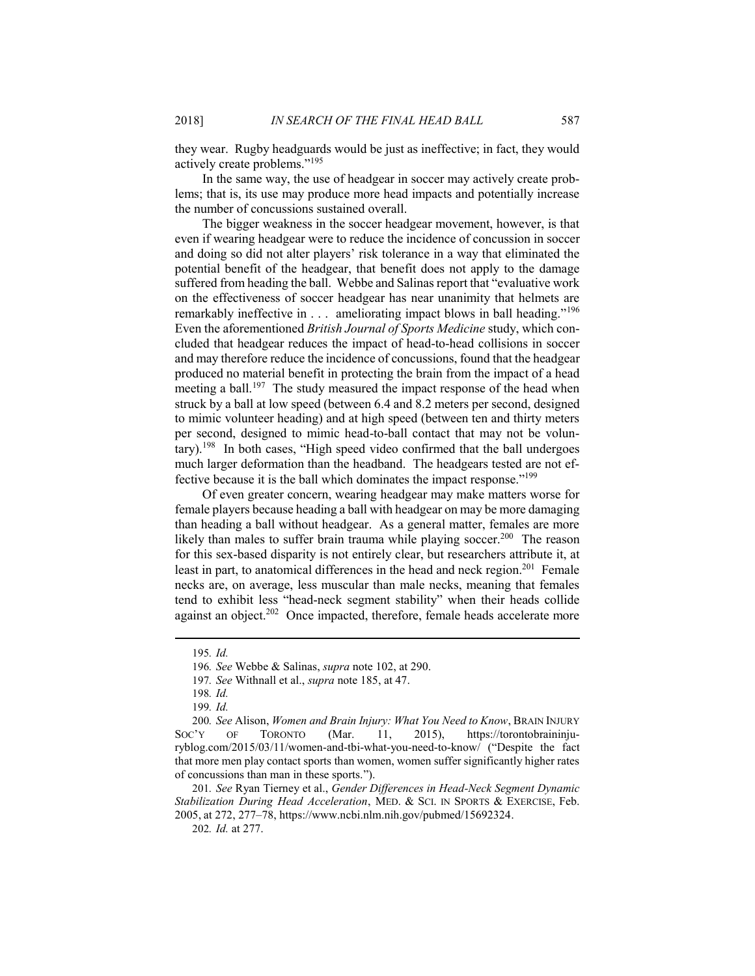they wear. Rugby headguards would be just as ineffective; in fact, they would actively create problems."<sup>195</sup>

In the same way, the use of headgear in soccer may actively create problems; that is, its use may produce more head impacts and potentially increase the number of concussions sustained overall.

The bigger weakness in the soccer headgear movement, however, is that even if wearing headgear were to reduce the incidence of concussion in soccer and doing so did not alter players' risk tolerance in a way that eliminated the potential benefit of the headgear, that benefit does not apply to the damage suffered from heading the ball. Webbe and Salinas report that "evaluative work on the effectiveness of soccer headgear has near unanimity that helmets are remarkably ineffective in  $\dots$  ameliorating impact blows in ball heading."<sup>196</sup> Even the aforementioned *British Journal of Sports Medicine* study, which concluded that headgear reduces the impact of head-to-head collisions in soccer and may therefore reduce the incidence of concussions, found that the headgear produced no material benefit in protecting the brain from the impact of a head meeting a ball.<sup>197</sup> The study measured the impact response of the head when struck by a ball at low speed (between 6.4 and 8.2 meters per second, designed to mimic volunteer heading) and at high speed (between ten and thirty meters per second, designed to mimic head-to-ball contact that may not be voluntary).<sup>198</sup> In both cases, "High speed video confirmed that the ball undergoes much larger deformation than the headband. The headgears tested are not effective because it is the ball which dominates the impact response."<sup>199</sup>

Of even greater concern, wearing headgear may make matters worse for female players because heading a ball with headgear on may be more damaging than heading a ball without headgear. As a general matter, females are more likely than males to suffer brain trauma while playing soccer.<sup>200</sup> The reason for this sex-based disparity is not entirely clear, but researchers attribute it, at least in part, to anatomical differences in the head and neck region.<sup>201</sup> Female necks are, on average, less muscular than male necks, meaning that females tend to exhibit less "head-neck segment stability" when their heads collide against an object.<sup>202</sup> Once impacted, therefore, female heads accelerate more

<sup>195</sup>*. Id.*

<sup>196</sup>*. See* Webbe & Salinas, *supra* note 102, at 290.

<sup>197</sup>*. See* Withnall et al., *supra* note 185, at 47.

<sup>198</sup>*. Id.*

<sup>199</sup>*. Id.*

<sup>200</sup>*. See* Alison, *Women and Brain Injury: What You Need to Know*, BRAIN INJURY<br>SOC'Y OF TORONTO (Mar. 11, 2015), https://torontobraininiu-OF TORONTO (Mar. 11, 2015), https://torontobraininjuryblog.com/2015/03/11/women-and-tbi-what-you-need-to-know/ ("Despite the fact that more men play contact sports than women, women suffer significantly higher rates of concussions than man in these sports.").

<sup>201</sup>*. See* Ryan Tierney et al., *Gender Differences in Head-Neck Segment Dynamic Stabilization During Head Acceleration*, MED. & SCI. IN SPORTS & EXERCISE, Feb. 2005, at 272, 277–78, https://www.ncbi.nlm.nih.gov/pubmed/15692324.

<sup>202</sup>*. Id.* at 277.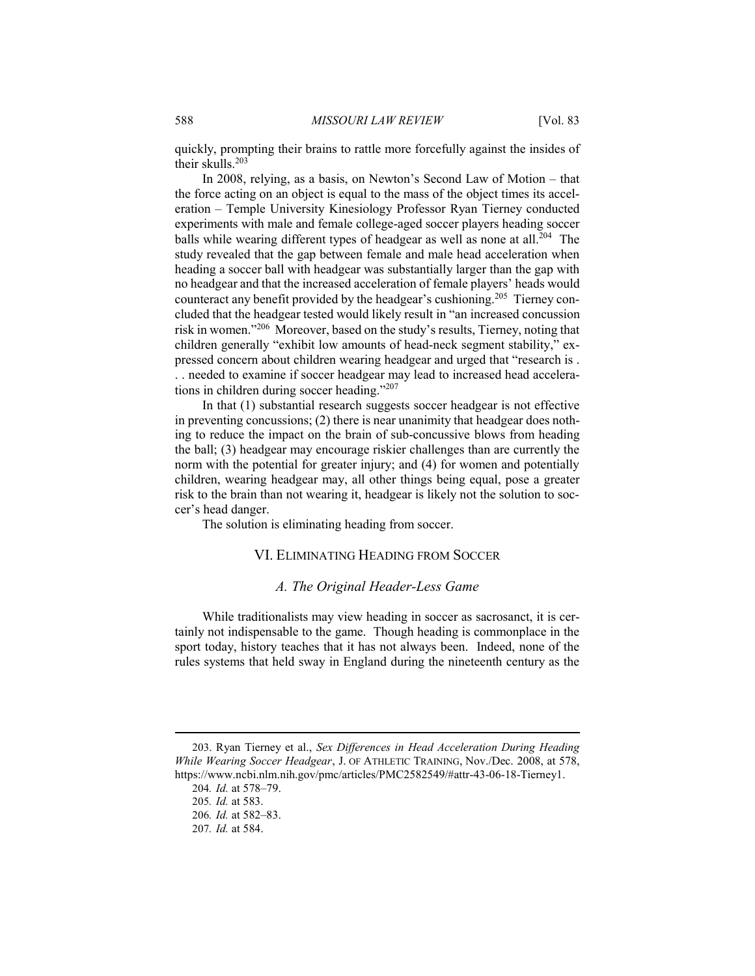quickly, prompting their brains to rattle more forcefully against the insides of their skulls.<sup>203</sup>

In 2008, relying, as a basis, on Newton's Second Law of Motion – that the force acting on an object is equal to the mass of the object times its acceleration – Temple University Kinesiology Professor Ryan Tierney conducted experiments with male and female college-aged soccer players heading soccer balls while wearing different types of headgear as well as none at all.<sup>204</sup> The study revealed that the gap between female and male head acceleration when heading a soccer ball with headgear was substantially larger than the gap with no headgear and that the increased acceleration of female players' heads would counteract any benefit provided by the headgear's cushioning.<sup>205</sup> Tierney concluded that the headgear tested would likely result in "an increased concussion risk in women."<sup>206</sup> Moreover, based on the study's results, Tierney, noting that children generally "exhibit low amounts of head-neck segment stability," expressed concern about children wearing headgear and urged that "research is . . . needed to examine if soccer headgear may lead to increased head accelerations in children during soccer heading."<sup>207</sup>

In that (1) substantial research suggests soccer headgear is not effective in preventing concussions; (2) there is near unanimity that headgear does nothing to reduce the impact on the brain of sub-concussive blows from heading the ball; (3) headgear may encourage riskier challenges than are currently the norm with the potential for greater injury; and (4) for women and potentially children, wearing headgear may, all other things being equal, pose a greater risk to the brain than not wearing it, headgear is likely not the solution to soccer's head danger.

The solution is eliminating heading from soccer.

## VI. ELIMINATING HEADING FROM SOCCER

### *A. The Original Header-Less Game*

While traditionalists may view heading in soccer as sacrosanct, it is certainly not indispensable to the game. Though heading is commonplace in the sport today, history teaches that it has not always been. Indeed, none of the rules systems that held sway in England during the nineteenth century as the

<sup>203</sup>. Ryan Tierney et al., *Sex Differences in Head Acceleration During Heading While Wearing Soccer Headgear*, J. OF ATHLETIC TRAINING, Nov./Dec. 2008, at 578, https://www.ncbi.nlm.nih.gov/pmc/articles/PMC2582549/#attr-43-06-18-Tierney1.

<sup>204</sup>*. Id.* at 578–79. 205*. Id.* at 583.

<sup>206</sup>*. Id.* at 582–83.

<sup>207</sup>*. Id.* at 584.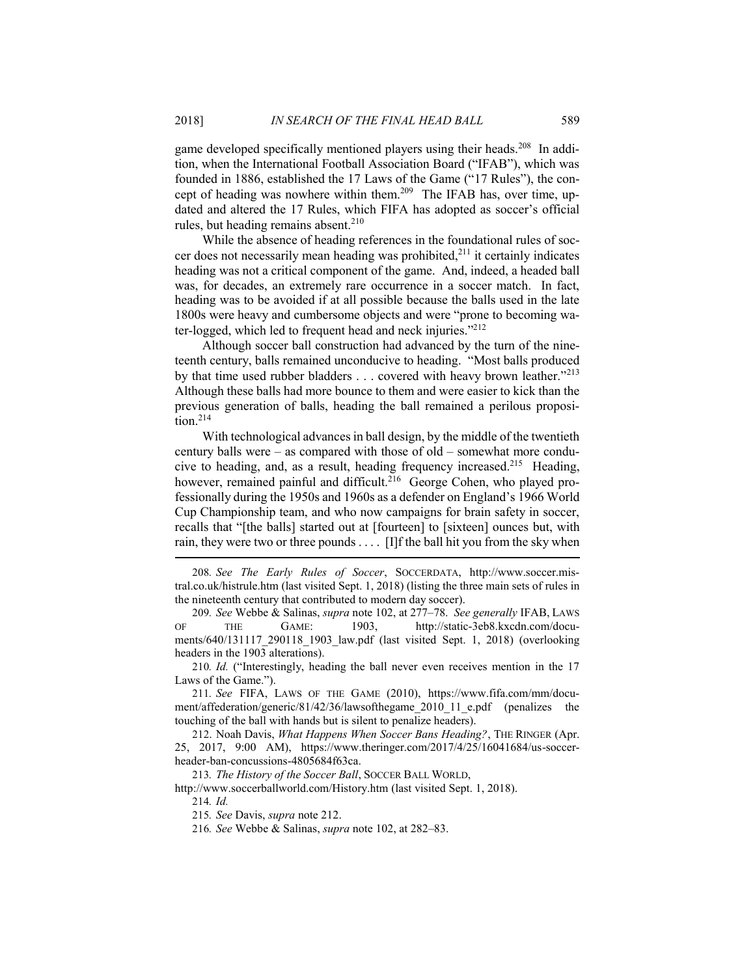game developed specifically mentioned players using their heads.<sup>208</sup> In addition, when the International Football Association Board ("IFAB"), which was founded in 1886, established the 17 Laws of the Game ("17 Rules"), the concept of heading was nowhere within them.<sup>209</sup> The IFAB has, over time, updated and altered the 17 Rules, which FIFA has adopted as soccer's official rules, but heading remains absent. $210$ 

While the absence of heading references in the foundational rules of soccer does not necessarily mean heading was prohibited, $^{211}$  it certainly indicates heading was not a critical component of the game. And, indeed, a headed ball was, for decades, an extremely rare occurrence in a soccer match. In fact, heading was to be avoided if at all possible because the balls used in the late 1800s were heavy and cumbersome objects and were "prone to becoming water-logged, which led to frequent head and neck injuries."<sup>212</sup>

Although soccer ball construction had advanced by the turn of the nineteenth century, balls remained unconducive to heading. "Most balls produced by that time used rubber bladders . . . covered with heavy brown leather."<sup>213</sup> Although these balls had more bounce to them and were easier to kick than the previous generation of balls, heading the ball remained a perilous proposition.<sup>214</sup>

With technological advances in ball design, by the middle of the twentieth century balls were – as compared with those of old – somewhat more conducive to heading, and, as a result, heading frequency increased.<sup>215</sup> Heading, however, remained painful and difficult.<sup>216</sup> George Cohen, who played professionally during the 1950s and 1960s as a defender on England's 1966 World Cup Championship team, and who now campaigns for brain safety in soccer, recalls that "[the balls] started out at [fourteen] to [sixteen] ounces but, with rain, they were two or three pounds . . . . [I]f the ball hit you from the sky when

208*. See The Early Rules of Soccer*, SOCCERDATA, http://www.soccer.mistral.co.uk/histrule.htm (last visited Sept. 1, 2018) (listing the three main sets of rules in the nineteenth century that contributed to modern day soccer).

209*. See* Webbe & Salinas, *supra* note 102, at 277–78. *See generally* IFAB, LAWS OF THE GAME: 1903, http://static-3eb8.kxcdn.com/documents/640/131117\_290118\_1903\_law.pdf (last visited Sept. 1, 2018) (overlooking headers in the 1903 alterations).

210*. Id.* ("Interestingly, heading the ball never even receives mention in the 17 Laws of the Game.").

211*. See* FIFA, LAWS OF THE GAME (2010), https://www.fifa.com/mm/document/affederation/generic/81/42/36/lawsofthegame\_2010\_11\_e.pdf (penalizes the touching of the ball with hands but is silent to penalize headers).

212. Noah Davis, *What Happens When Soccer Bans Heading?*, THE RINGER (Apr. 25, 2017, 9:00 AM), https://www.theringer.com/2017/4/25/16041684/us-soccerheader-ban-concussions-4805684f63ca.

213*. The History of the Soccer Ball*, SOCCER BALL WORLD,

http://www.soccerballworld.com/History.htm (last visited Sept. 1, 2018). 214*. Id.*

215*. See* Davis, *supra* note 212.

216*. See* Webbe & Salinas, *supra* note 102, at 282–83.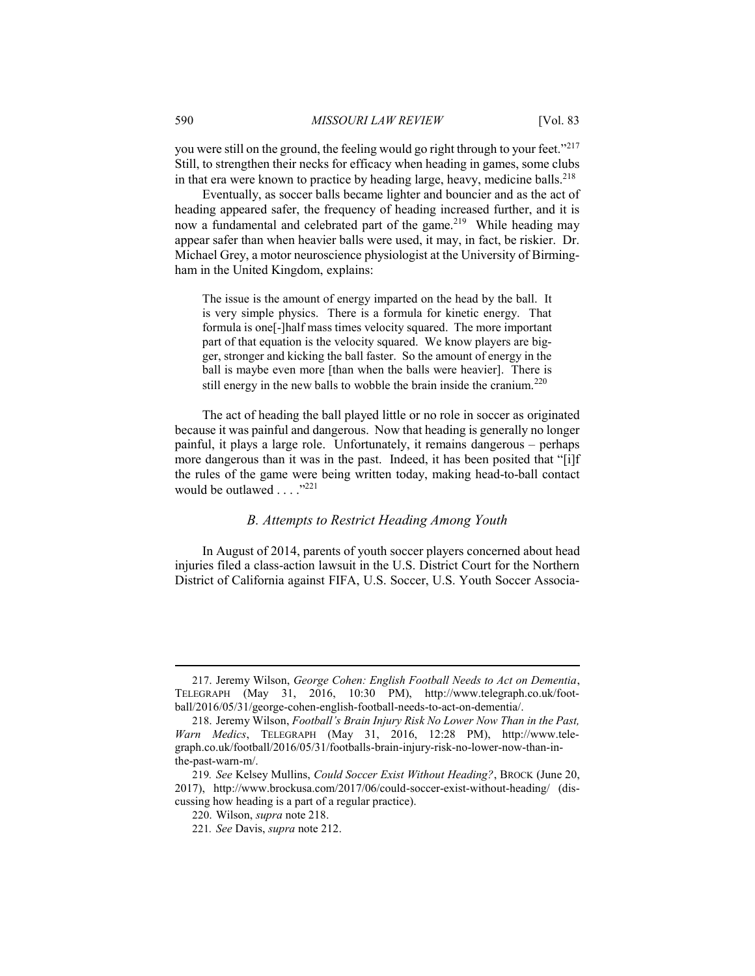you were still on the ground, the feeling would go right through to your feet."<sup>217</sup> Still, to strengthen their necks for efficacy when heading in games, some clubs in that era were known to practice by heading large, heavy, medicine balls.<sup>218</sup>

Eventually, as soccer balls became lighter and bouncier and as the act of heading appeared safer, the frequency of heading increased further, and it is now a fundamental and celebrated part of the game.<sup>219</sup> While heading may appear safer than when heavier balls were used, it may, in fact, be riskier. Dr. Michael Grey, a motor neuroscience physiologist at the University of Birmingham in the United Kingdom, explains:

The issue is the amount of energy imparted on the head by the ball. It is very simple physics. There is a formula for kinetic energy. That formula is one[-]half mass times velocity squared. The more important part of that equation is the velocity squared. We know players are bigger, stronger and kicking the ball faster. So the amount of energy in the ball is maybe even more [than when the balls were heavier]. There is still energy in the new balls to wobble the brain inside the cranium.<sup>220</sup>

The act of heading the ball played little or no role in soccer as originated because it was painful and dangerous. Now that heading is generally no longer painful, it plays a large role. Unfortunately, it remains dangerous – perhaps more dangerous than it was in the past. Indeed, it has been posited that "[i]f the rules of the game were being written today, making head-to-ball contact would be outlawed . . . . "<sup>221</sup>

### *B. Attempts to Restrict Heading Among Youth*

In August of 2014, parents of youth soccer players concerned about head injuries filed a class-action lawsuit in the U.S. District Court for the Northern District of California against FIFA, U.S. Soccer, U.S. Youth Soccer Associa-

<sup>217</sup>. Jeremy Wilson, *George Cohen: English Football Needs to Act on Dementia*, TELEGRAPH (May 31, 2016, 10:30 PM), http://www.telegraph.co.uk/football/2016/05/31/george-cohen-english-football-needs-to-act-on-dementia/.

<sup>218</sup>. Jeremy Wilson, *Football's Brain Injury Risk No Lower Now Than in the Past, Warn Medics*, TELEGRAPH (May 31, 2016, 12:28 PM), http://www.telegraph.co.uk/football/2016/05/31/footballs-brain-injury-risk-no-lower-now-than-inthe-past-warn-m/.

<sup>219</sup>*. See* Kelsey Mullins, *Could Soccer Exist Without Heading?*, BROCK (June 20, 2017), http://www.brockusa.com/2017/06/could-soccer-exist-without-heading/ (discussing how heading is a part of a regular practice).

<sup>220</sup>. Wilson, *supra* note 218.

<sup>221</sup>*. See* Davis, *supra* note 212.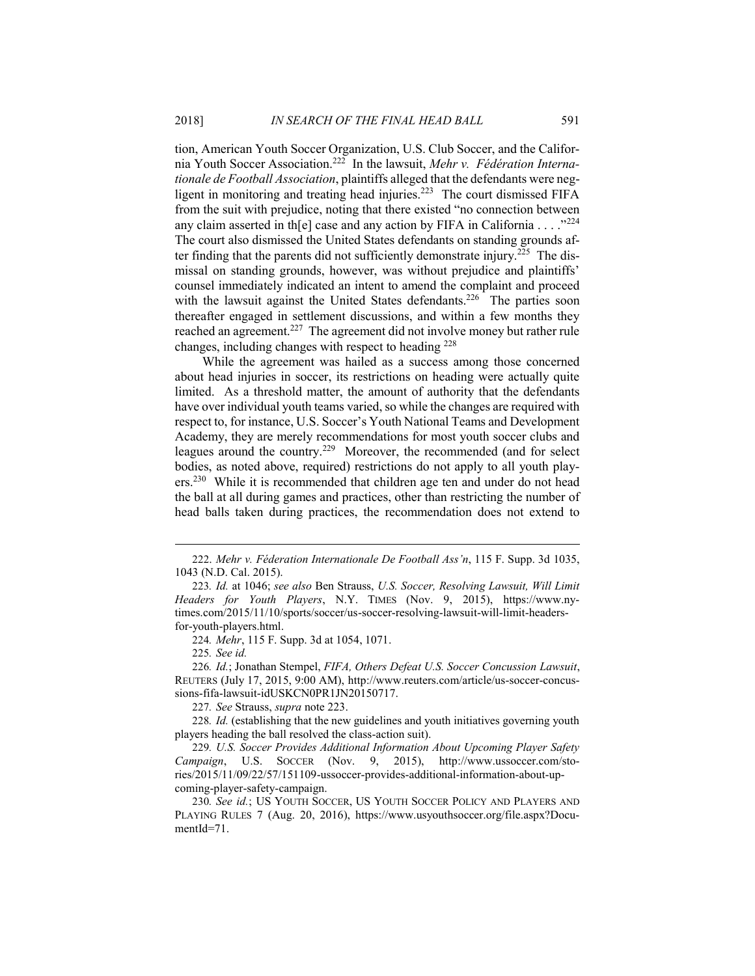tion, American Youth Soccer Organization, U.S. Club Soccer, and the California Youth Soccer Association.<sup>222</sup> In the lawsuit, *Mehr v. Fédération Internationale de Football Association*, plaintiffs alleged that the defendants were negligent in monitoring and treating head injuries.<sup>223</sup> The court dismissed FIFA from the suit with prejudice, noting that there existed "no connection between any claim asserted in th[e] case and any action by FIFA in California . . . . "224 The court also dismissed the United States defendants on standing grounds after finding that the parents did not sufficiently demonstrate injury.<sup>225</sup> The dismissal on standing grounds, however, was without prejudice and plaintiffs' counsel immediately indicated an intent to amend the complaint and proceed with the lawsuit against the United States defendants.<sup>226</sup> The parties soon thereafter engaged in settlement discussions, and within a few months they reached an agreement.<sup>227</sup> The agreement did not involve money but rather rule changes, including changes with respect to heading <sup>228</sup>

While the agreement was hailed as a success among those concerned about head injuries in soccer, its restrictions on heading were actually quite limited. As a threshold matter, the amount of authority that the defendants have over individual youth teams varied, so while the changes are required with respect to, for instance, U.S. Soccer's Youth National Teams and Development Academy, they are merely recommendations for most youth soccer clubs and leagues around the country.<sup>229</sup> Moreover, the recommended (and for select bodies, as noted above, required) restrictions do not apply to all youth players.<sup>230</sup> While it is recommended that children age ten and under do not head the ball at all during games and practices, other than restricting the number of head balls taken during practices, the recommendation does not extend to

227*. See* Strauss, *supra* note 223.

228*. Id.* (establishing that the new guidelines and youth initiatives governing youth players heading the ball resolved the class-action suit).

<sup>222</sup>. *Mehr v. Féderation Internationale De Football Ass'n*, 115 F. Supp. 3d 1035, 1043 (N.D. Cal. 2015).

<sup>223</sup>*. Id.* at 1046; *see also* Ben Strauss, *U.S. Soccer, Resolving Lawsuit, Will Limit Headers for Youth Players*, N.Y. TIMES (Nov. 9, 2015), https://www.nytimes.com/2015/11/10/sports/soccer/us-soccer-resolving-lawsuit-will-limit-headersfor-youth-players.html.

<sup>224</sup>*. Mehr*, 115 F. Supp. 3d at 1054, 1071.

<sup>225</sup>*. See id.*

<sup>226</sup>*. Id.*; Jonathan Stempel, *FIFA, Others Defeat U.S. Soccer Concussion Lawsuit*, REUTERS (July 17, 2015, 9:00 AM), http://www.reuters.com/article/us-soccer-concussions-fifa-lawsuit-idUSKCN0PR1JN20150717.

<sup>229</sup>*. U.S. Soccer Provides Additional Information About Upcoming Player Safety Campaign*, U.S. SOCCER (Nov. 9, 2015), http://www.ussoccer.com/stories/2015/11/09/22/57/151109-ussoccer-provides-additional-information-about-upcoming-player-safety-campaign.

<sup>230</sup>*. See id.*; US YOUTH SOCCER, US YOUTH SOCCER POLICY AND PLAYERS AND PLAYING RULES 7 (Aug. 20, 2016), https://www.usyouthsoccer.org/file.aspx?DocumentId=71.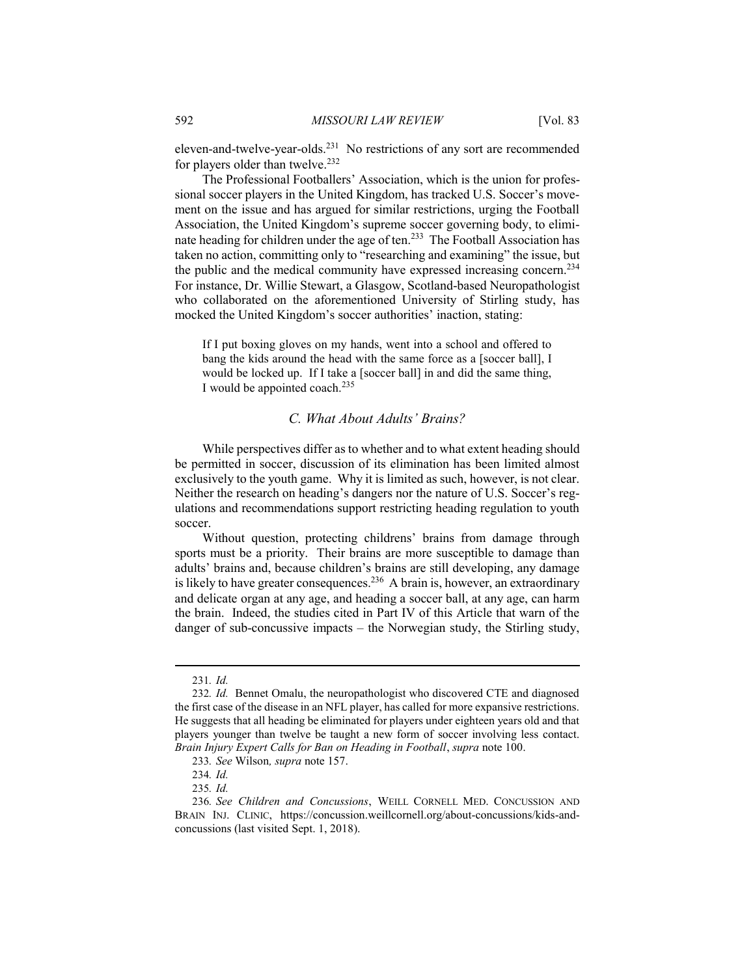eleven-and-twelve-year-olds.<sup>231</sup> No restrictions of any sort are recommended for players older than twelve. $232$ 

The Professional Footballers' Association, which is the union for professional soccer players in the United Kingdom, has tracked U.S. Soccer's movement on the issue and has argued for similar restrictions, urging the Football Association, the United Kingdom's supreme soccer governing body, to eliminate heading for children under the age of ten.<sup>233</sup> The Football Association has taken no action, committing only to "researching and examining" the issue, but the public and the medical community have expressed increasing concern.<sup>234</sup> For instance, Dr. Willie Stewart, a Glasgow, Scotland-based Neuropathologist who collaborated on the aforementioned University of Stirling study, has mocked the United Kingdom's soccer authorities' inaction, stating:

If I put boxing gloves on my hands, went into a school and offered to bang the kids around the head with the same force as a [soccer ball], I would be locked up. If I take a [soccer ball] in and did the same thing, I would be appointed coach. $^{235}$ 

#### *C. What About Adults' Brains?*

While perspectives differ as to whether and to what extent heading should be permitted in soccer, discussion of its elimination has been limited almost exclusively to the youth game. Why it is limited as such, however, is not clear. Neither the research on heading's dangers nor the nature of U.S. Soccer's regulations and recommendations support restricting heading regulation to youth soccer.

Without question, protecting childrens' brains from damage through sports must be a priority. Their brains are more susceptible to damage than adults' brains and, because children's brains are still developing, any damage is likely to have greater consequences.<sup>236</sup> A brain is, however, an extraordinary and delicate organ at any age, and heading a soccer ball, at any age, can harm the brain. Indeed, the studies cited in Part IV of this Article that warn of the danger of sub-concussive impacts – the Norwegian study, the Stirling study,

<sup>231</sup>*. Id.*

<sup>232</sup>*. Id.* Bennet Omalu, the neuropathologist who discovered CTE and diagnosed the first case of the disease in an NFL player, has called for more expansive restrictions. He suggests that all heading be eliminated for players under eighteen years old and that players younger than twelve be taught a new form of soccer involving less contact. *Brain Injury Expert Calls for Ban on Heading in Football*, *supra* note 100.

<sup>233</sup>*. See* Wilson*, supra* note 157.

<sup>234</sup>*. Id.*

<sup>235</sup>*. Id.*

<sup>236</sup>*. See Children and Concussions*, WEILL CORNELL MED. CONCUSSION AND BRAIN INJ. CLINIC, https://concussion.weillcornell.org/about-concussions/kids-andconcussions (last visited Sept. 1, 2018).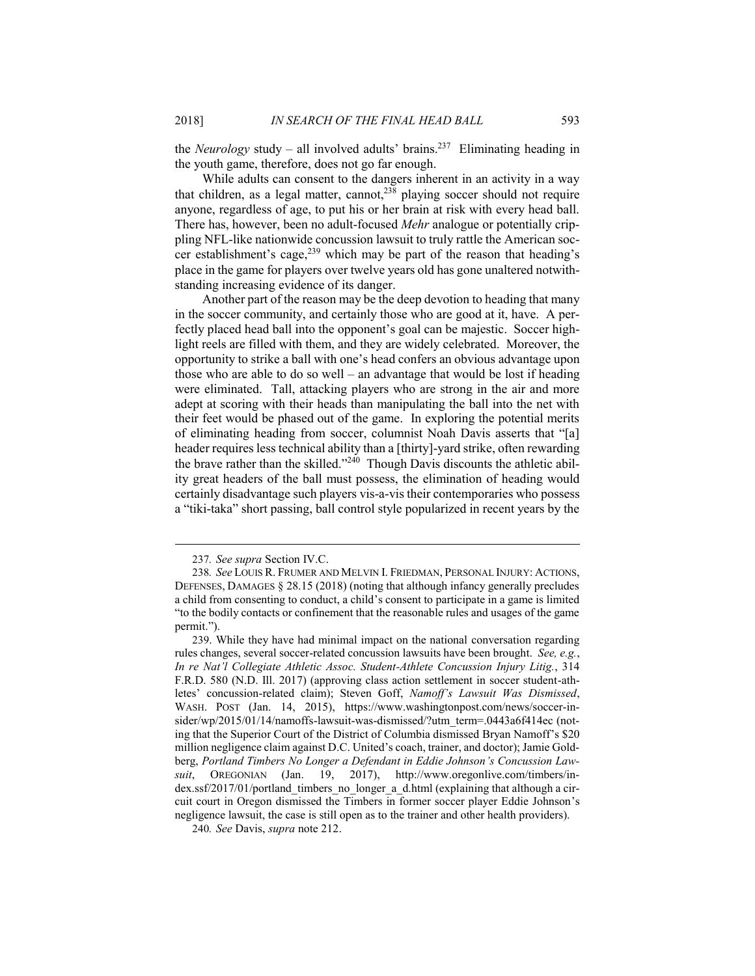the *Neurology* study – all involved adults' brains.<sup>237</sup> Eliminating heading in the youth game, therefore, does not go far enough.

While adults can consent to the dangers inherent in an activity in a way that children, as a legal matter, cannot,  $238$  playing soccer should not require anyone, regardless of age, to put his or her brain at risk with every head ball. There has, however, been no adult-focused *Mehr* analogue or potentially crippling NFL-like nationwide concussion lawsuit to truly rattle the American soccer establishment's cage,<sup>239</sup> which may be part of the reason that heading's place in the game for players over twelve years old has gone unaltered notwithstanding increasing evidence of its danger.

Another part of the reason may be the deep devotion to heading that many in the soccer community, and certainly those who are good at it, have. A perfectly placed head ball into the opponent's goal can be majestic. Soccer highlight reels are filled with them, and they are widely celebrated. Moreover, the opportunity to strike a ball with one's head confers an obvious advantage upon those who are able to do so well – an advantage that would be lost if heading were eliminated. Tall, attacking players who are strong in the air and more adept at scoring with their heads than manipulating the ball into the net with their feet would be phased out of the game. In exploring the potential merits of eliminating heading from soccer, columnist Noah Davis asserts that "[a] header requires less technical ability than a [thirty]-yard strike, often rewarding the brave rather than the skilled."<sup>240</sup> Though Davis discounts the athletic ability great headers of the ball must possess, the elimination of heading would certainly disadvantage such players vis-a-vis their contemporaries who possess a "tiki-taka" short passing, ball control style popularized in recent years by the

<sup>237</sup>*. See supra* Section IV.C.

<sup>238</sup>*. See* LOUIS R. FRUMER AND MELVIN I. FRIEDMAN, PERSONAL INJURY: ACTIONS, DEFENSES, DAMAGES § 28.15 (2018) (noting that although infancy generally precludes a child from consenting to conduct, a child's consent to participate in a game is limited "to the bodily contacts or confinement that the reasonable rules and usages of the game permit.").

<sup>239</sup>. While they have had minimal impact on the national conversation regarding rules changes, several soccer-related concussion lawsuits have been brought. *See, e.g.*, *In re Nat'l Collegiate Athletic Assoc. Student-Athlete Concussion Injury Litig.*, 314 F.R.D. 580 (N.D. Ill. 2017) (approving class action settlement in soccer student-athletes' concussion-related claim); Steven Goff, *Namoff's Lawsuit Was Dismissed*, WASH. POST (Jan. 14, 2015), https://www.washingtonpost.com/news/soccer-insider/wp/2015/01/14/namoffs-lawsuit-was-dismissed/?utm\_term=.0443a6f414ec (noting that the Superior Court of the District of Columbia dismissed Bryan Namoff's \$20 million negligence claim against D.C. United's coach, trainer, and doctor); Jamie Goldberg, *Portland Timbers No Longer a Defendant in Eddie Johnson's Concussion Lawsuit*, OREGONIAN (Jan. 19, 2017), http://www.oregonlive.com/timbers/index.ssf/2017/01/portland\_timbers\_no\_longer\_a\_d.html (explaining that although a circuit court in Oregon dismissed the Timbers in former soccer player Eddie Johnson's negligence lawsuit, the case is still open as to the trainer and other health providers).

<sup>240</sup>*. See* Davis, *supra* note 212.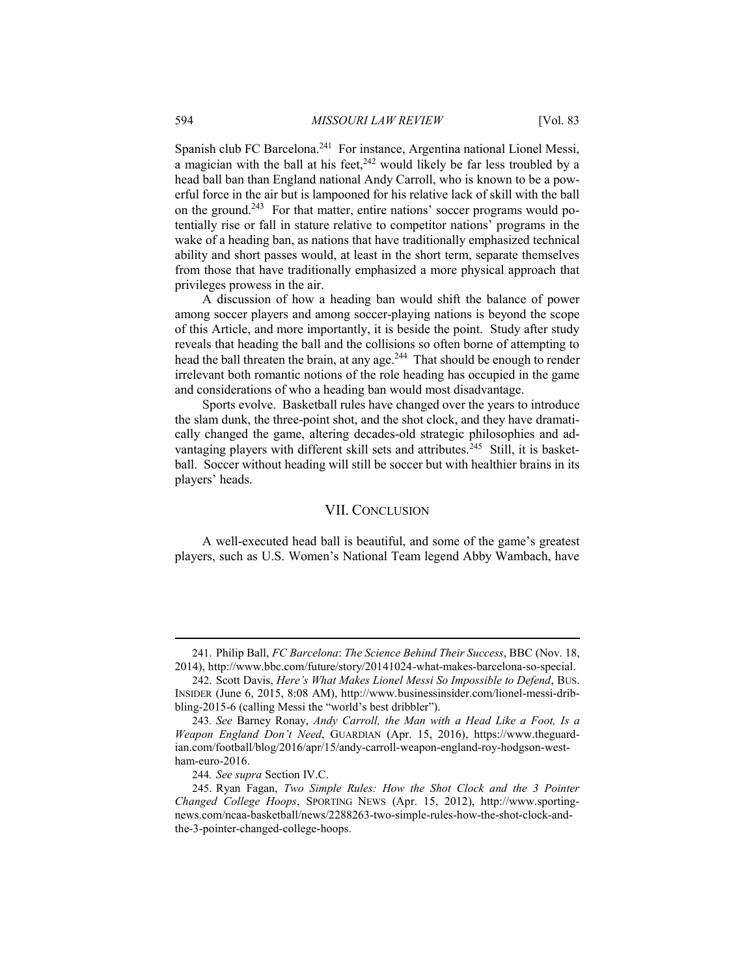Spanish club FC Barcelona.<sup>241</sup> For instance, Argentina national Lionel Messi, a magician with the ball at his feet,  $242$  would likely be far less troubled by a head ball ban than England national Andy Carroll, who is known to be a powerful force in the air but is lampooned for his relative lack of skill with the ball on the ground.<sup>243</sup> For that matter, entire nations' soccer programs would potentially rise or fall in stature relative to competitor nations' programs in the wake of a heading ban, as nations that have traditionally emphasized technical ability and short passes would, at least in the short term, separate themselves from those that have traditionally emphasized a more physical approach that privileges prowess in the air.

A discussion of how a heading ban would shift the balance of power among soccer players and among soccer-playing nations is beyond the scope of this Article, and more importantly, it is beside the point. Study after study reveals that heading the ball and the collisions so often borne of attempting to head the ball threaten the brain, at any age.<sup>244</sup> That should be enough to render irrelevant both romantic notions of the role heading has occupied in the game and considerations of who a heading ban would most disadvantage.

Sports evolve. Basketball rules have changed over the years to introduce the slam dunk, the three-point shot, and the shot clock, and they have dramatically changed the game, altering decades-old strategic philosophies and advantaging players with different skill sets and attributes.<sup>245</sup> Still, it is basketball. Soccer without heading will still be soccer but with healthier brains in its players' heads.

#### VII. CONCLUSION

A well-executed head ball is beautiful, and some of the game's greatest players, such as U.S. Women's National Team legend Abby Wambach, have

<sup>241</sup>. Philip Ball, *FC Barcelona*: *The Science Behind Their Success*, BBC (Nov. 18, 2014), http://www.bbc.com/future/story/20141024-what-makes-barcelona-so-special.

<sup>242</sup>. Scott Davis, *Here's What Makes Lionel Messi So Impossible to Defend*, BUS. INSIDER (June 6, 2015, 8:08 AM), http://www.businessinsider.com/lionel-messi-dribbling-2015-6 (calling Messi the "world's best dribbler").

<sup>243</sup>*. See* Barney Ronay, *Andy Carroll, the Man with a Head Like a Foot, Is a Weapon England Don't Need*, GUARDIAN (Apr. 15, 2016), https://www.theguardian.com/football/blog/2016/apr/15/andy-carroll-weapon-england-roy-hodgson-westham-euro-2016.

<sup>244</sup>*. See supra* Section IV.C.

<sup>245</sup>. Ryan Fagan, *Two Simple Rules: How the Shot Clock and the 3 Pointer Changed College Hoops*, SPORTING NEWS (Apr. 15, 2012), http://www.sportingnews.com/ncaa-basketball/news/2288263-two-simple-rules-how-the-shot-clock-andthe-3-pointer-changed-college-hoops.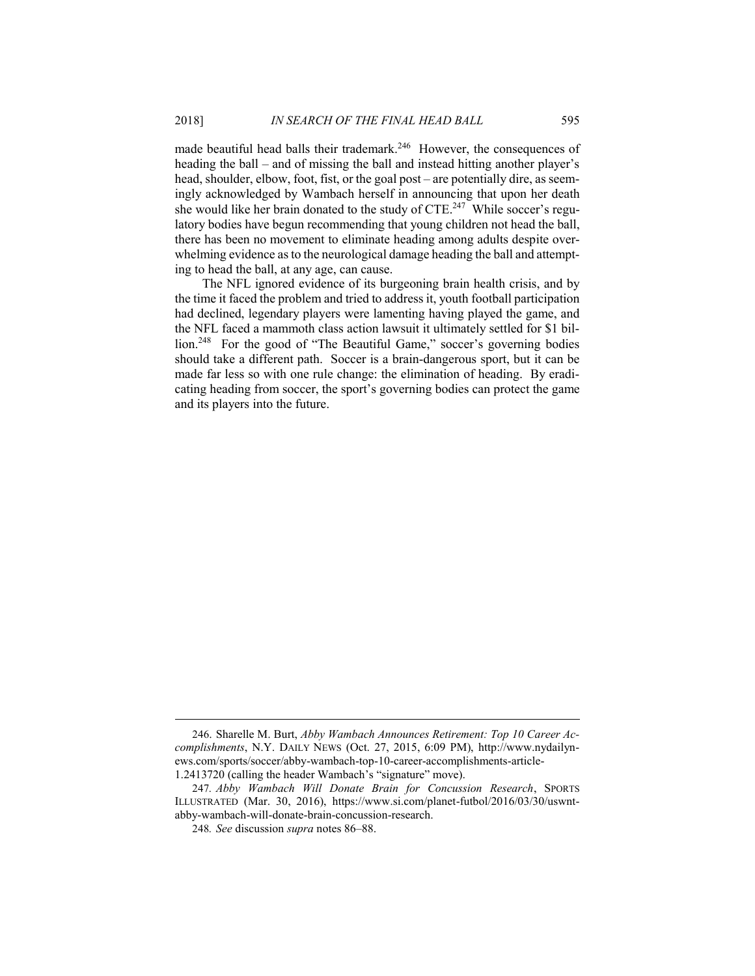made beautiful head balls their trademark.<sup>246</sup> However, the consequences of heading the ball – and of missing the ball and instead hitting another player's head, shoulder, elbow, foot, fist, or the goal post – are potentially dire, as seemingly acknowledged by Wambach herself in announcing that upon her death she would like her brain donated to the study of  $CTE<sup>247</sup>$  While soccer's regulatory bodies have begun recommending that young children not head the ball, there has been no movement to eliminate heading among adults despite overwhelming evidence as to the neurological damage heading the ball and attempting to head the ball, at any age, can cause.

The NFL ignored evidence of its burgeoning brain health crisis, and by the time it faced the problem and tried to address it, youth football participation had declined, legendary players were lamenting having played the game, and the NFL faced a mammoth class action lawsuit it ultimately settled for \$1 billion.<sup>248</sup> For the good of "The Beautiful Game," soccer's governing bodies should take a different path. Soccer is a brain-dangerous sport, but it can be made far less so with one rule change: the elimination of heading. By eradicating heading from soccer, the sport's governing bodies can protect the game and its players into the future.

<sup>246</sup>. Sharelle M. Burt, *Abby Wambach Announces Retirement: Top 10 Career Accomplishments*, N.Y. DAILY NEWS (Oct. 27, 2015, 6:09 PM), http://www.nydailynews.com/sports/soccer/abby-wambach-top-10-career-accomplishments-article-1.2413720 (calling the header Wambach's "signature" move).

<sup>247</sup>*. Abby Wambach Will Donate Brain for Concussion Research*, SPORTS ILLUSTRATED (Mar. 30, 2016), https://www.si.com/planet-futbol/2016/03/30/uswntabby-wambach-will-donate-brain-concussion-research.

<sup>248</sup>*. See* discussion *supra* notes 86–88.